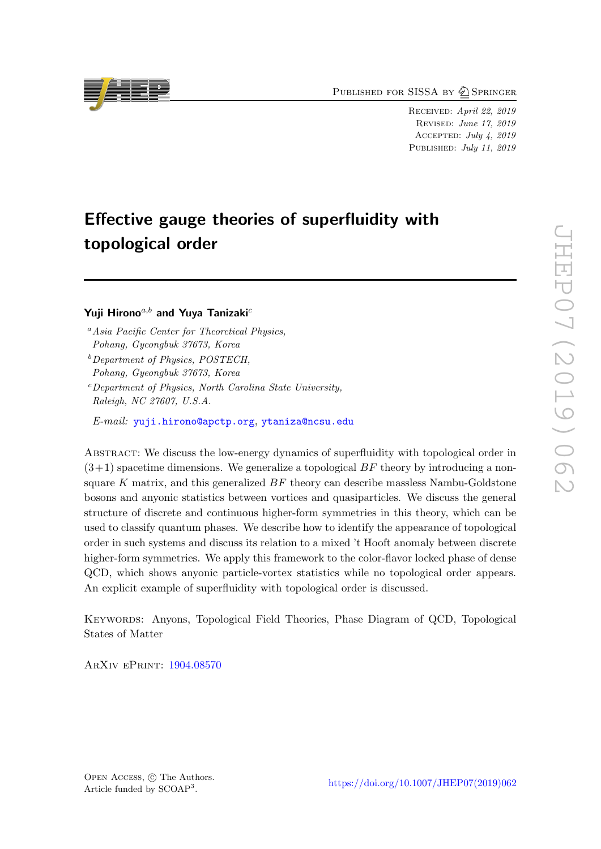PUBLISHED FOR SISSA BY 2 SPRINGER

Received: April 22, 2019 Revised: June 17, 2019 Accepted: July 4, 2019 PUBLISHED: July 11, 2019

# Effective gauge theories of superfluidity with topological order

Yuji Hirono $a,b$  and Yuya Tanizaki<sup>c</sup>

E-mail: [yuji.hirono@apctp.org](mailto:yuji.hirono@apctp.org), [ytaniza@ncsu.edu](mailto:ytaniza@ncsu.edu)

Abstract: We discuss the low-energy dynamics of superfluidity with topological order in  $(3+1)$  spacetime dimensions. We generalize a topological BF theory by introducing a nonsquare  $K$  matrix, and this generalized  $BF$  theory can describe massless Nambu-Goldstone bosons and anyonic statistics between vortices and quasiparticles. We discuss the general structure of discrete and continuous higher-form symmetries in this theory, which can be used to classify quantum phases. We describe how to identify the appearance of topological order in such systems and discuss its relation to a mixed 't Hooft anomaly between discrete higher-form symmetries. We apply this framework to the color-flavor locked phase of dense QCD, which shows anyonic particle-vortex statistics while no topological order appears. An explicit example of superfluidity with topological order is discussed.

Keywords: Anyons, Topological Field Theories, Phase Diagram of QCD, Topological States of Matter

ArXiv ePrint: [1904.08570](https://arxiv.org/abs/1904.08570)



 $a<sup>a</sup> Asia Pacific Center for Theoretical Physics,$ Pohang, Gyeongbuk 37673, Korea

 $b$  Department of Physics, POSTECH, Pohang, Gyeongbuk 37673, Korea

 $c$  Department of Physics, North Carolina State University, Raleigh, NC 27607, U.S.A.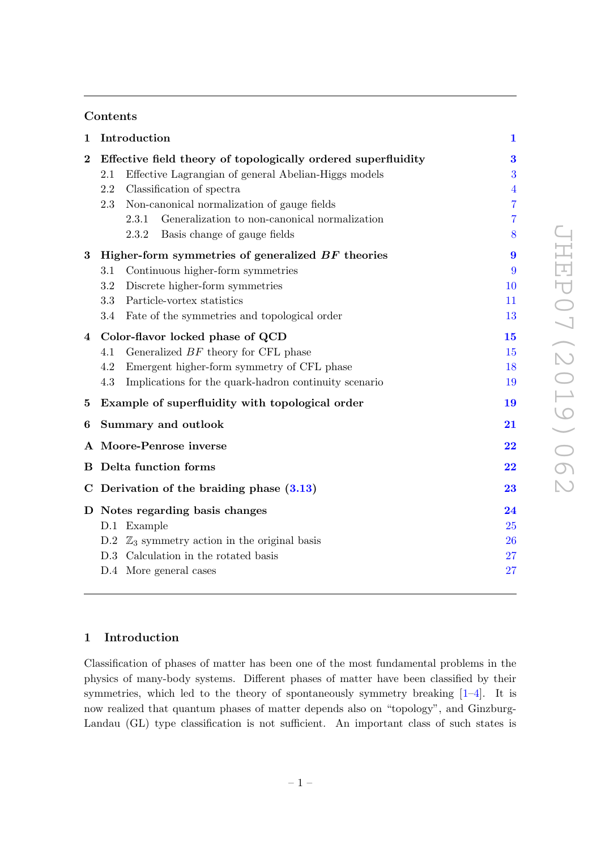# Contents

| $\mathbf{1}$               | Introduction                                                                                                                                                                                                                                                                                                              | $\mathbf{1}$                               |
|----------------------------|---------------------------------------------------------------------------------------------------------------------------------------------------------------------------------------------------------------------------------------------------------------------------------------------------------------------------|--------------------------------------------|
| $\boldsymbol{2}$           | Effective field theory of topologically ordered superfluidity<br>Effective Lagrangian of general Abelian-Higgs models<br>2.1<br>Classification of spectra<br>2.2<br>Non-canonical normalization of gauge fields<br>2.3<br>Generalization to non-canonical normalization<br>2.3.1<br>Basis change of gauge fields<br>2.3.2 | 3<br>3<br>$\overline{4}$<br>7<br>7<br>8    |
| $\bf{3}$                   | Higher-form symmetries of generalized BF theories<br>Continuous higher-form symmetries<br>3.1<br>Discrete higher-form symmetries<br>3.2<br>Particle-vortex statistics<br>3.3<br>Fate of the symmetries and topological order<br>3.4                                                                                       | $\boldsymbol{9}$<br>9<br>10<br>11<br>13    |
| $\overline{4}$<br>$\bf{5}$ | Color-flavor locked phase of QCD<br>Generalized $BF$ theory for CFL phase<br>4.1<br>Emergent higher-form symmetry of CFL phase<br>4.2<br>Implications for the quark-hadron continuity scenario<br>4.3<br>Example of superfluidity with topological order                                                                  | 15<br>15<br>18<br>19<br>19                 |
| 6                          | Summary and outlook                                                                                                                                                                                                                                                                                                       | $\overline{21}$                            |
| В                          | A Moore-Penrose inverse<br>Delta function forms                                                                                                                                                                                                                                                                           | $\overline{\bf 22}$<br>$\overline{\bf 22}$ |
|                            | C Derivation of the braiding phase $(3.13)$                                                                                                                                                                                                                                                                               | 23                                         |
|                            | D Notes regarding basis changes<br>D.1 Example<br>D.2 $\mathbb{Z}_3$ symmetry action in the original basis<br>D.3 Calculation in the rotated basis<br>D.4 More general cases                                                                                                                                              | 24<br>25<br>26<br>27<br>27                 |
|                            |                                                                                                                                                                                                                                                                                                                           |                                            |

# <span id="page-1-0"></span>1 Introduction

Classification of phases of matter has been one of the most fundamental problems in the physics of many-body systems. Different phases of matter have been classified by their symmetries, which led to the theory of spontaneously symmetry breaking [\[1](#page-29-0)[–4\]](#page-29-1). It is now realized that quantum phases of matter depends also on "topology", and Ginzburg-Landau (GL) type classification is not sufficient. An important class of such states is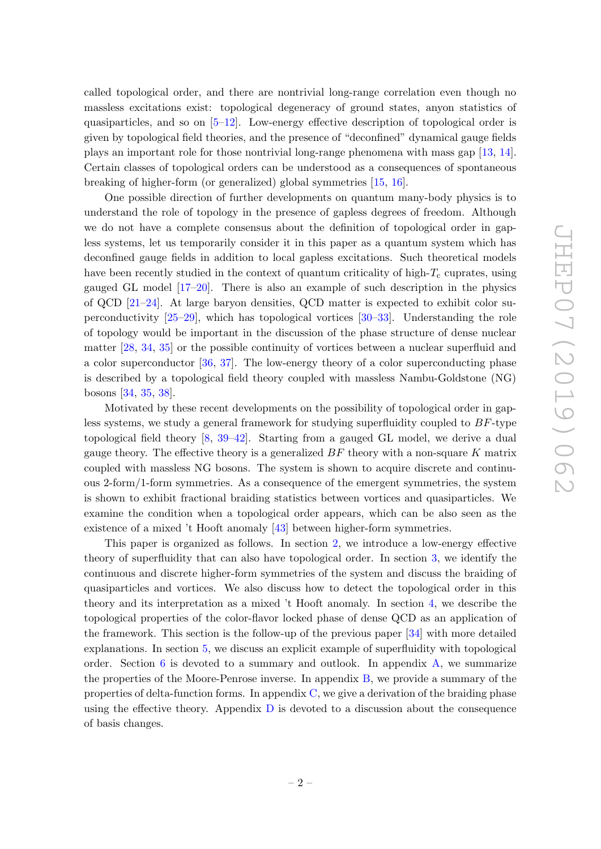called topological order, and there are nontrivial long-range correlation even though no massless excitations exist: topological degeneracy of ground states, anyon statistics of quasiparticles, and so on  $[5-12]$  $[5-12]$ . Low-energy effective description of topological order is given by topological field theories, and the presence of "deconfined" dynamical gauge fields plays an important role for those nontrivial long-range phenomena with mass gap [\[13,](#page-29-4) [14\]](#page-29-5). Certain classes of topological orders can be understood as a consequences of spontaneous breaking of higher-form (or generalized) global symmetries [\[15,](#page-29-6) [16\]](#page-29-7).

One possible direction of further developments on quantum many-body physics is to understand the role of topology in the presence of gapless degrees of freedom. Although we do not have a complete consensus about the definition of topological order in gapless systems, let us temporarily consider it in this paper as a quantum system which has deconfined gauge fields in addition to local gapless excitations. Such theoretical models have been recently studied in the context of quantum criticality of high- $T_c$  cuprates, using gauged GL model [\[17–](#page-29-8)[20\]](#page-30-0). There is also an example of such description in the physics of QCD [\[21–](#page-30-1)[24\]](#page-30-2). At large baryon densities, QCD matter is expected to exhibit color superconductivity [\[25–](#page-30-3)[29\]](#page-30-4), which has topological vortices [\[30](#page-30-5)[–33\]](#page-30-6). Understanding the role of topology would be important in the discussion of the phase structure of dense nuclear matter [\[28,](#page-30-7) [34,](#page-30-8) [35\]](#page-30-9) or the possible continuity of vortices between a nuclear superfluid and a color superconductor [\[36,](#page-30-10) [37\]](#page-30-11). The low-energy theory of a color superconducting phase is described by a topological field theory coupled with massless Nambu-Goldstone (NG) bosons [\[34,](#page-30-8) [35,](#page-30-9) [38\]](#page-31-0).

Motivated by these recent developments on the possibility of topological order in gapless systems, we study a general framework for studying superfluidity coupled to  $BF$ -type topological field theory [\[8,](#page-29-9) [39–](#page-31-1)[42\]](#page-31-2). Starting from a gauged GL model, we derive a dual gauge theory. The effective theory is a generalized  $BF$  theory with a non-square K matrix coupled with massless NG bosons. The system is shown to acquire discrete and continuous 2-form/1-form symmetries. As a consequence of the emergent symmetries, the system is shown to exhibit fractional braiding statistics between vortices and quasiparticles. We examine the condition when a topological order appears, which can be also seen as the existence of a mixed 't Hooft anomaly [\[43\]](#page-31-3) between higher-form symmetries.

This paper is organized as follows. In section [2,](#page-3-0) we introduce a low-energy effective theory of superfluidity that can also have topological order. In section [3,](#page-9-0) we identify the continuous and discrete higher-form symmetries of the system and discuss the braiding of quasiparticles and vortices. We also discuss how to detect the topological order in this theory and its interpretation as a mixed 't Hooft anomaly. In section [4,](#page-15-0) we describe the topological properties of the color-flavor locked phase of dense QCD as an application of the framework. This section is the follow-up of the previous paper [\[34\]](#page-30-8) with more detailed explanations. In section [5,](#page-19-1) we discuss an explicit example of superfluidity with topological order. Section  $6$  is devoted to a summary and outlook. In appendix  $A$ , we summarize the properties of the Moore-Penrose inverse. In appendix [B,](#page-22-1) we provide a summary of the properties of delta-function forms. In appendix  $C$ , we give a derivation of the braiding phase using the effective theory. Appendix  $D$  is devoted to a discussion about the consequence of basis changes.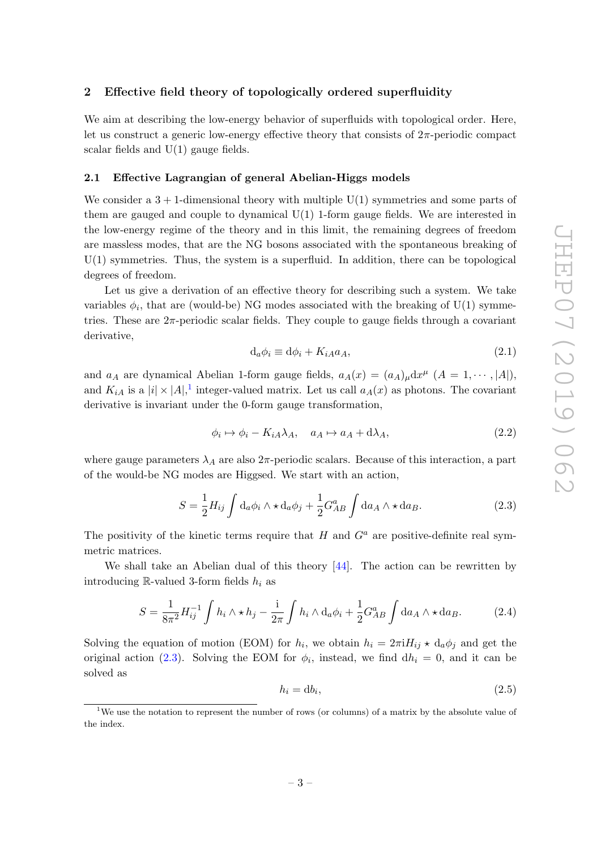# <span id="page-3-0"></span>2 Effective field theory of topologically ordered superfluidity

We aim at describing the low-energy behavior of superfluids with topological order. Here, let us construct a generic low-energy effective theory that consists of  $2\pi$ -periodic compact scalar fields and  $U(1)$  gauge fields.

#### <span id="page-3-1"></span>2.1 Effective Lagrangian of general Abelian-Higgs models

We consider a  $3 + 1$ -dimensional theory with multiple  $U(1)$  symmetries and some parts of them are gauged and couple to dynamical  $U(1)$  1-form gauge fields. We are interested in the low-energy regime of the theory and in this limit, the remaining degrees of freedom are massless modes, that are the NG bosons associated with the spontaneous breaking of  $U(1)$  symmetries. Thus, the system is a superfluid. In addition, there can be topological degrees of freedom.

Let us give a derivation of an effective theory for describing such a system. We take variables  $\phi_i$ , that are (would-be) NG modes associated with the breaking of U(1) symmetries. These are  $2\pi$ -periodic scalar fields. They couple to gauge fields through a covariant derivative,

$$
d_a \phi_i \equiv d\phi_i + K_{iA} a_A,\tag{2.1}
$$

and  $a_A$  are dynamical Abelian 1-form gauge fields,  $a_A(x) = (a_A)_{\mu} dx^{\mu}$   $(A = 1, \dots, |A|)$ , and  $K_{iA}$  is a  $|i| \times |A|$ ,<sup>[1](#page-3-2)</sup> integer-valued matrix. Let us call  $a_A(x)$  as photons. The covariant derivative is invariant under the 0-form gauge transformation,

$$
\phi_i \mapsto \phi_i - K_{iA} \lambda_A, \quad a_A \mapsto a_A + d\lambda_A,\tag{2.2}
$$

where gauge parameters  $\lambda_A$  are also  $2\pi$ -periodic scalars. Because of this interaction, a part of the would-be NG modes are Higgsed. We start with an action,

<span id="page-3-3"></span>
$$
S = \frac{1}{2} H_{ij} \int d_a \phi_i \wedge \star d_a \phi_j + \frac{1}{2} G_{AB}^a \int d a_A \wedge \star d a_B.
$$
 (2.3)

The positivity of the kinetic terms require that H and  $G^a$  are positive-definite real symmetric matrices.

We shall take an Abelian dual of this theory [\[44\]](#page-31-4). The action can be rewritten by introducing R-valued 3-form fields  $h_i$  as

$$
S = \frac{1}{8\pi^2} H_{ij}^{-1} \int h_i \wedge \star h_j - \frac{i}{2\pi} \int h_i \wedge d_a \phi_i + \frac{1}{2} G_{AB}^a \int d a_A \wedge \star d a_B.
$$
 (2.4)

Solving the equation of motion (EOM) for  $h_i$ , we obtain  $h_i = 2\pi i H_{ij} \star d_a \phi_j$  and get the original action [\(2.3\)](#page-3-3). Solving the EOM for  $\phi_i$ , instead, we find  $dh_i = 0$ , and it can be solved as

<span id="page-3-4"></span>
$$
h_i = \mathrm{d}b_i,\tag{2.5}
$$

<span id="page-3-2"></span><sup>&</sup>lt;sup>1</sup>We use the notation to represent the number of rows (or columns) of a matrix by the absolute value of the index.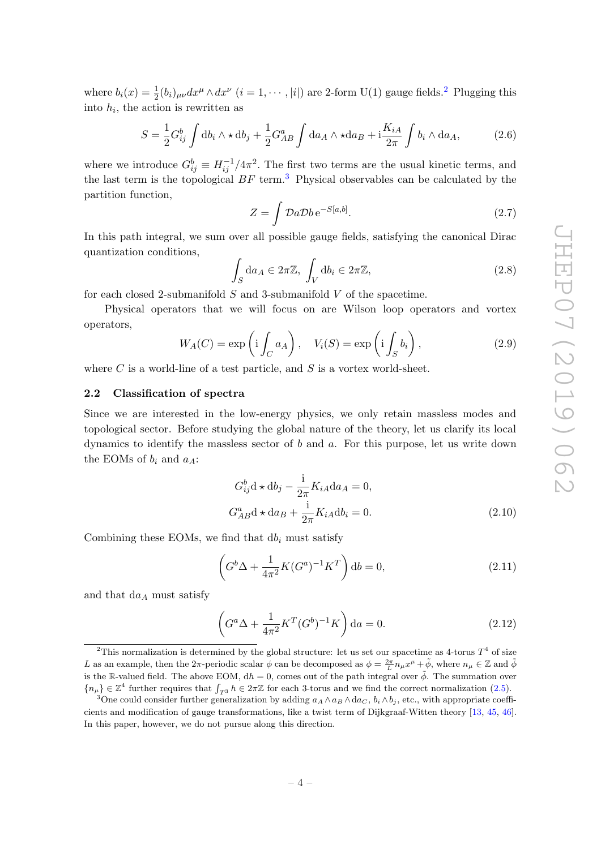where  $b_i(x) = \frac{1}{2}(b_i)_{\mu\nu} dx^{\mu} \wedge dx^{\nu}$  $b_i(x) = \frac{1}{2}(b_i)_{\mu\nu} dx^{\mu} \wedge dx^{\nu}$  $b_i(x) = \frac{1}{2}(b_i)_{\mu\nu} dx^{\mu} \wedge dx^{\nu}$   $(i = 1, \dots, |i|)$  are 2-form U(1) gauge fields.<sup>2</sup> Plugging this into  $h_i$ , the action is rewritten as

<span id="page-4-3"></span>
$$
S = \frac{1}{2} G_{ij}^b \int \mathrm{d}b_i \wedge \star \mathrm{d}b_j + \frac{1}{2} G_{AB}^a \int \mathrm{d}a_A \wedge \star \mathrm{d}a_B + \mathrm{i} \frac{K_{iA}}{2\pi} \int b_i \wedge \mathrm{d}a_A, \tag{2.6}
$$

where we introduce  $G_{ij}^b \equiv H_{ij}^{-1}/4\pi^2$ . The first two terms are the usual kinetic terms, and the last term is the topological  $BF$  term.<sup>[3](#page-4-2)</sup> Physical observables can be calculated by the partition function,

$$
Z = \int \mathcal{D}a \mathcal{D}b \,\mathrm{e}^{-S[a,b]}.\tag{2.7}
$$

In this path integral, we sum over all possible gauge fields, satisfying the canonical Dirac quantization conditions,

<span id="page-4-4"></span>
$$
\int_{S} da_{A} \in 2\pi \mathbb{Z}, \int_{V} db_{i} \in 2\pi \mathbb{Z}, \qquad (2.8)
$$

for each closed 2-submanifold  $S$  and 3-submanifold  $V$  of the spacetime.

Physical operators that we will focus on are Wilson loop operators and vortex operators,

<span id="page-4-5"></span>
$$
W_A(C) = \exp\left(i \int_C a_A\right), \quad V_i(S) = \exp\left(i \int_S b_i\right), \tag{2.9}
$$

where  $C$  is a world-line of a test particle, and  $S$  is a vortex world-sheet.

# <span id="page-4-0"></span>2.2 Classification of spectra

Since we are interested in the low-energy physics, we only retain massless modes and topological sector. Before studying the global nature of the theory, let us clarify its local dynamics to identify the massless sector of  $b$  and  $a$ . For this purpose, let us write down the EOMs of  $b_i$  and  $a_A$ :

$$
G_{ij}^{b}d \star db_{j} - \frac{i}{2\pi}K_{iA}da_{A} = 0,
$$
  
\n
$$
G_{AB}^{a}d \star da_{B} + \frac{i}{2\pi}K_{iA}db_{i} = 0.
$$
\n(2.10)

Combining these EOMs, we find that  $db_i$  must satisfy

$$
\left(G^{b}\Delta + \frac{1}{4\pi^{2}}K(G^{a})^{-1}K^{T}\right)db = 0,
$$
\n(2.11)

and that  $da<sub>A</sub>$  must satisfy

$$
\left(G^a \Delta + \frac{1}{4\pi^2} K^T (G^b)^{-1} K\right) da = 0.
$$
 (2.12)

<span id="page-4-1"></span><sup>&</sup>lt;sup>2</sup>This normalization is determined by the global structure: let us set our spacetime as 4-torus  $T^4$  of size L as an example, then the  $2\pi$ -periodic scalar  $\phi$  can be decomposed as  $\phi = \frac{2\pi}{L} n_\mu x^\mu + \tilde{\phi}$ , where  $n_\mu \in \mathbb{Z}$  and  $\tilde{\phi}$ is the R-valued field. The above EOM,  $dh = 0$ , comes out of the path integral over  $\phi$ . The summation over  ${n_{\mu}} \in \mathbb{Z}^4$  further requires that  $\int_{T^3} h \in 2\pi \mathbb{Z}$  for each 3-torus and we find the correct normalization [\(2.5\)](#page-3-4).

<span id="page-4-2"></span><sup>&</sup>lt;sup>3</sup>One could consider further generalization by adding  $a_A \wedge a_B \wedge da_C$ ,  $b_i \wedge b_j$ , etc., with appropriate coefficients and modification of gauge transformations, like a twist term of Dijkgraaf-Witten theory [\[13,](#page-29-4) [45,](#page-31-5) [46\]](#page-31-6). In this paper, however, we do not pursue along this direction.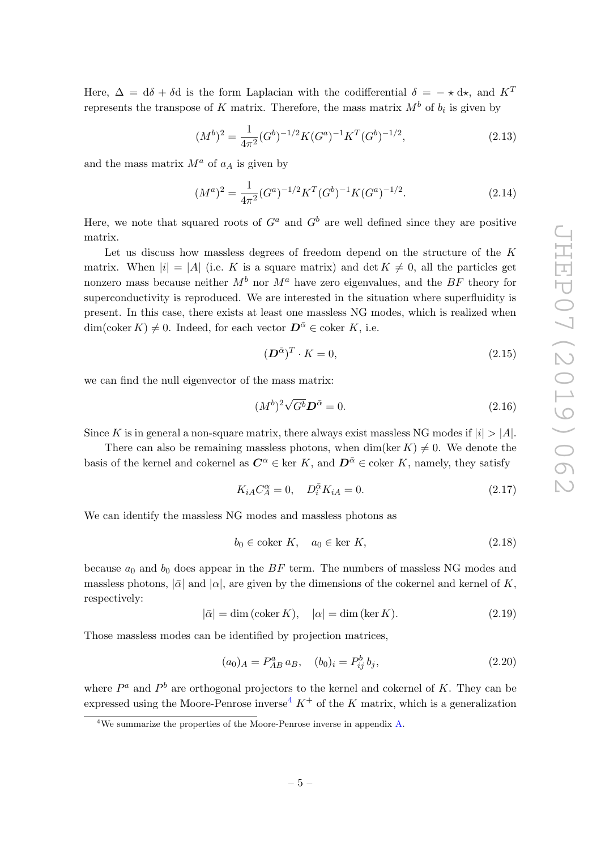Here,  $\Delta = d\delta + \delta d$  is the form Laplacian with the codifferential  $\delta = -\star d\star$ , and  $K^T$ represents the transpose of K matrix. Therefore, the mass matrix  $M^b$  of  $b_i$  is given by

$$
(M^b)^2 = \frac{1}{4\pi^2} (G^b)^{-1/2} K (G^a)^{-1} K^T (G^b)^{-1/2},
$$
\n(2.13)

and the mass matrix  $M^a$  of  $a<sub>A</sub>$  is given by

$$
(M^a)^2 = \frac{1}{4\pi^2} (G^a)^{-1/2} K^T (G^b)^{-1} K (G^a)^{-1/2}.
$$
 (2.14)

Here, we note that squared roots of  $G^a$  and  $G^b$  are well defined since they are positive matrix.

Let us discuss how massless degrees of freedom depend on the structure of the K matrix. When  $|i| = |A|$  (i.e. K is a square matrix) and  $\det K \neq 0$ , all the particles get nonzero mass because neither  $M^b$  nor  $M^a$  have zero eigenvalues, and the BF theory for superconductivity is reproduced. We are interested in the situation where superfluidity is present. In this case, there exists at least one massless NG modes, which is realized when  $\dim(\mathrm{coker}\,K) \neq 0$ . Indeed, for each vector  $\mathbf{D}^{\bar{\alpha}} \in \mathrm{coker}\,K$ , i.e.

$$
(\mathbf{D}^{\bar{\alpha}})^T \cdot K = 0,\tag{2.15}
$$

we can find the null eigenvector of the mass matrix:

$$
(M^b)^2 \sqrt{G^b} \mathbf{D}^{\bar{\alpha}} = 0. \tag{2.16}
$$

Since K is in general a non-square matrix, there always exist massless NG modes if  $|i| > |A|$ .

There can also be remaining massless photons, when dim(ker K)  $\neq 0$ . We denote the basis of the kernel and cokernel as  $C^{\alpha} \in \text{ker } K$ , and  $D^{\bar{\alpha}} \in \text{coker } K$ , namely, they satisfy

$$
K_{iA}C_A^{\alpha} = 0, \quad D_i^{\bar{\alpha}}K_{iA} = 0.
$$
\n(2.17)

We can identify the massless NG modes and massless photons as

$$
b_0 \in \text{coker } K, \quad a_0 \in \text{ker } K,\tag{2.18}
$$

because  $a_0$  and  $b_0$  does appear in the BF term. The numbers of massless NG modes and massless photons,  $|\bar{\alpha}|$  and  $|\alpha|$ , are given by the dimensions of the cokernel and kernel of K, respectively:

$$
|\bar{\alpha}| = \dim(\text{coker } K), \quad |\alpha| = \dim(\ker K). \tag{2.19}
$$

Those massless modes can be identified by projection matrices,

$$
(a_0)_A = P_{AB}^a \, a_B, \quad (b_0)_i = P_{ij}^b \, b_j,\tag{2.20}
$$

where  $P^a$  and  $P^b$  are orthogonal projectors to the kernel and cokernel of K. They can be expressed using the Moore-Penrose inverse<sup>[4](#page-5-0)</sup>  $K^+$  of the K matrix, which is a generalization

<span id="page-5-0"></span> $4$ We summarize the properties of the Moore-Penrose inverse in appendix [A.](#page-22-0)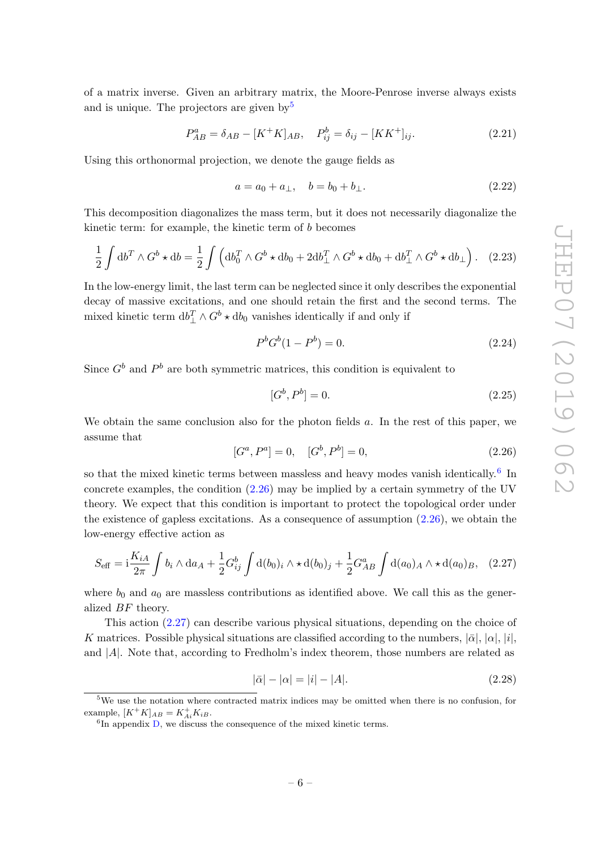of a matrix inverse. Given an arbitrary matrix, the Moore-Penrose inverse always exists and is unique. The projectors are given by  $5^5$  $5^5$ 

$$
P_{AB}^{a} = \delta_{AB} - [K^{+}K]_{AB}, \quad P_{ij}^{b} = \delta_{ij} - [KK^{+}]_{ij}.
$$
 (2.21)

Using this orthonormal projection, we denote the gauge fields as

$$
a = a_0 + a_\perp, \quad b = b_0 + b_\perp. \tag{2.22}
$$

This decomposition diagonalizes the mass term, but it does not necessarily diagonalize the kinetic term: for example, the kinetic term of b becomes

$$
\frac{1}{2} \int \mathrm{d}b^T \wedge G^b \star \mathrm{d}b = \frac{1}{2} \int \left( \mathrm{d}b_0^T \wedge G^b \star \mathrm{d}b_0 + 2 \mathrm{d}b_\perp^T \wedge G^b \star \mathrm{d}b_0 + \mathrm{d}b_\perp^T \wedge G^b \star \mathrm{d}b_\perp \right). \tag{2.23}
$$

In the low-energy limit, the last term can be neglected since it only describes the exponential decay of massive excitations, and one should retain the first and the second terms. The mixed kinetic term  $db_{\perp}^T \wedge G^b \star db_0$  vanishes identically if and only if

$$
P^b G^b (1 - P^b) = 0.
$$
\n(2.24)

Since  $G^b$  and  $P^b$  are both symmetric matrices, this condition is equivalent to

$$
[G^b, P^b] = 0.\t\t(2.25)
$$

We obtain the same conclusion also for the photon fields a. In the rest of this paper, we assume that

<span id="page-6-2"></span>
$$
[G^a, P^a] = 0, \quad [G^b, P^b] = 0,\tag{2.26}
$$

so that the mixed kinetic terms between massless and heavy modes vanish identically.<sup>[6](#page-6-1)</sup> In concrete examples, the condition [\(2.26\)](#page-6-2) may be implied by a certain symmetry of the UV theory. We expect that this condition is important to protect the topological order under the existence of gapless excitations. As a consequence of assumption  $(2.26)$ , we obtain the low-energy effective action as

<span id="page-6-3"></span>
$$
S_{\text{eff}} = i \frac{K_{iA}}{2\pi} \int b_i \wedge da_A + \frac{1}{2} G_{ij}^b \int d(b_0)_i \wedge \star d(b_0)_j + \frac{1}{2} G_{AB}^a \int d(a_0)_A \wedge \star d(a_0)_B, \quad (2.27)
$$

where  $b_0$  and  $a_0$  are massless contributions as identified above. We call this as the generalized BF theory.

This action [\(2.27\)](#page-6-3) can describe various physical situations, depending on the choice of K matrices. Possible physical situations are classified according to the numbers,  $|\bar{\alpha}|, |\alpha|, |i|$ , and  $|A|$ . Note that, according to Fredholm's index theorem, those numbers are related as

$$
|\bar{\alpha}| - |\alpha| = |i| - |A|.
$$
 (2.28)

<span id="page-6-0"></span><sup>&</sup>lt;sup>5</sup>We use the notation where contracted matrix indices may be omitted when there is no confusion, for example,  $[K^+K]_{AB} = K^+_{Ai}K_{iB}.$ 

<span id="page-6-1"></span> ${}^{6}$ In appendix  $D$ , we discuss the consequence of the mixed kinetic terms.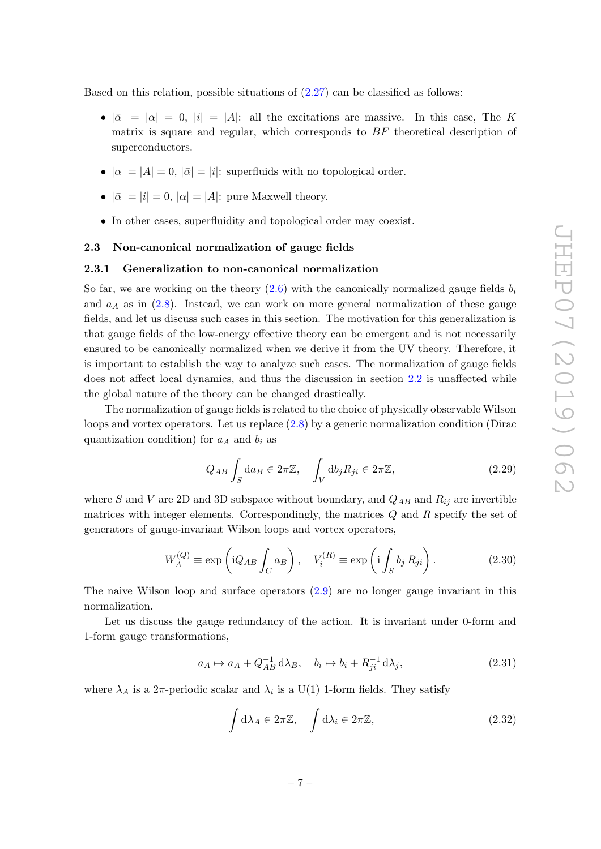Based on this relation, possible situations of  $(2.27)$  can be classified as follows:

- $|\bar{\alpha}| = |\alpha| = 0$ ,  $|i| = |A|$ : all the excitations are massive. In this case, The K matrix is square and regular, which corresponds to BF theoretical description of superconductors.
- $|\alpha| = |A| = 0$ ,  $|\bar{\alpha}| = |i|$ : superfluids with no topological order.
- $|\bar{\alpha}| = |i| = 0$ ,  $|\alpha| = |A|$ : pure Maxwell theory.
- In other cases, superfluidity and topological order may coexist.

#### <span id="page-7-0"></span>2.3 Non-canonical normalization of gauge fields

#### <span id="page-7-1"></span>2.3.1 Generalization to non-canonical normalization

So far, we are working on the theory  $(2.6)$  with the canonically normalized gauge fields  $b_i$ and  $a_A$  as in  $(2.8)$ . Instead, we can work on more general normalization of these gauge fields, and let us discuss such cases in this section. The motivation for this generalization is that gauge fields of the low-energy effective theory can be emergent and is not necessarily ensured to be canonically normalized when we derive it from the UV theory. Therefore, it is important to establish the way to analyze such cases. The normalization of gauge fields does not affect local dynamics, and thus the discussion in section [2.2](#page-4-0) is unaffected while the global nature of the theory can be changed drastically.

The normalization of gauge fields is related to the choice of physically observable Wilson loops and vortex operators. Let us replace  $(2.8)$  by a generic normalization condition (Dirac quantization condition) for  $a<sub>A</sub>$  and  $b<sub>i</sub>$  as

<span id="page-7-2"></span>
$$
Q_{AB} \int_{S} da_{B} \in 2\pi \mathbb{Z}, \quad \int_{V} db_{j} R_{ji} \in 2\pi \mathbb{Z}, \tag{2.29}
$$

where S and V are 2D and 3D subspace without boundary, and  $Q_{AB}$  and  $R_{ij}$  are invertible matrices with integer elements. Correspondingly, the matrices  $Q$  and  $R$  specify the set of generators of gauge-invariant Wilson loops and vortex operators,

<span id="page-7-3"></span>
$$
W_A^{(Q)} \equiv \exp\left(iQ_{AB} \int_C a_B\right), \quad V_i^{(R)} \equiv \exp\left(i \int_S b_j R_{ji}\right). \tag{2.30}
$$

The naive Wilson loop and surface operators [\(2.9\)](#page-4-5) are no longer gauge invariant in this normalization.

Let us discuss the gauge redundancy of the action. It is invariant under 0-form and 1-form gauge transformations,

$$
a_A \mapsto a_A + Q_{AB}^{-1} d\lambda_B, \quad b_i \mapsto b_i + R_{ji}^{-1} d\lambda_j,
$$
\n
$$
(2.31)
$$

where  $\lambda_A$  is a  $2\pi$ -periodic scalar and  $\lambda_i$  is a U(1) 1-form fields. They satisfy

$$
\int d\lambda_A \in 2\pi \mathbb{Z}, \quad \int d\lambda_i \in 2\pi \mathbb{Z}, \tag{2.32}
$$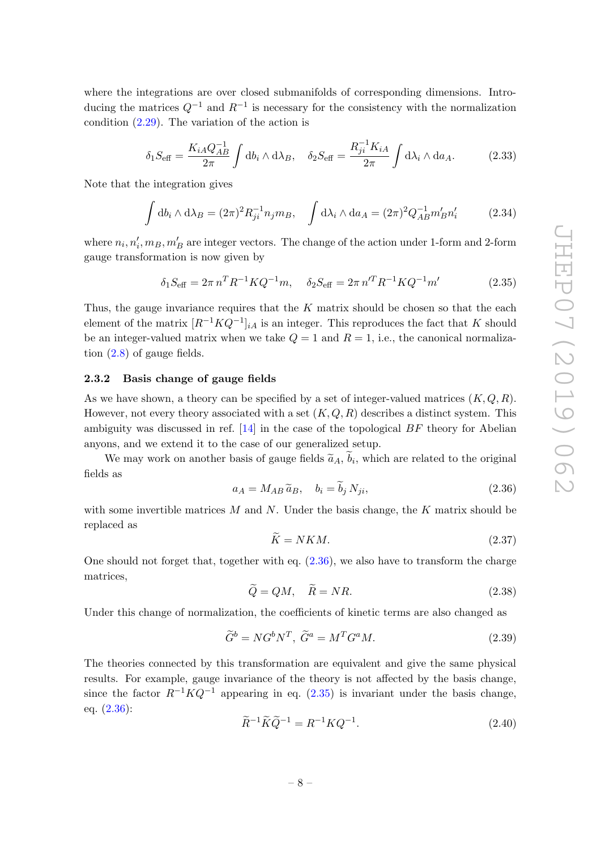where the integrations are over closed submanifolds of corresponding dimensions. Introducing the matrices  $Q^{-1}$  and  $R^{-1}$  is necessary for the consistency with the normalization condition [\(2.29\)](#page-7-2). The variation of the action is

$$
\delta_1 S_{\text{eff}} = \frac{K_{iA} Q_{AB}^{-1}}{2\pi} \int \mathrm{d}b_i \wedge \mathrm{d}\lambda_B, \quad \delta_2 S_{\text{eff}} = \frac{R_{ji}^{-1} K_{iA}}{2\pi} \int \mathrm{d}\lambda_i \wedge \mathrm{d}a_A. \tag{2.33}
$$

Note that the integration gives

$$
\int \mathrm{d}b_i \wedge \mathrm{d}\lambda_B = (2\pi)^2 R_{ji}^{-1} n_j m_B, \quad \int \mathrm{d}\lambda_i \wedge \mathrm{d}a_A = (2\pi)^2 Q_{AB}^{-1} m'_B n'_i \tag{2.34}
$$

where  $n_i, n'_i, m_B, m'_B$  are integer vectors. The change of the action under 1-form and 2-form gauge transformation is now given by

<span id="page-8-2"></span>
$$
\delta_1 S_{\text{eff}} = 2\pi n^T R^{-1} K Q^{-1} m, \quad \delta_2 S_{\text{eff}} = 2\pi n^{\prime T} R^{-1} K Q^{-1} m' \tag{2.35}
$$

Thus, the gauge invariance requires that the  $K$  matrix should be chosen so that the each element of the matrix  $[R^{-1}KQ^{-1}]_{iA}$  is an integer. This reproduces the fact that K should be an integer-valued matrix when we take  $Q = 1$  and  $R = 1$ , i.e., the canonical normalization [\(2.8\)](#page-4-4) of gauge fields.

## <span id="page-8-0"></span>2.3.2 Basis change of gauge fields

As we have shown, a theory can be specified by a set of integer-valued matrices  $(K, Q, R)$ . However, not every theory associated with a set  $(K, Q, R)$  describes a distinct system. This ambiguity was discussed in ref.  $[14]$  in the case of the topological  $BF$  theory for Abelian anyons, and we extend it to the case of our generalized setup.

We may work on another basis of gauge fields  $\tilde{a}_A$ ,  $b_i$ , which are related to the original fields as

<span id="page-8-1"></span>
$$
a_A = M_{AB} \tilde{a}_B, \quad b_i = \tilde{b}_j N_{ji}, \tag{2.36}
$$

with some invertible matrices  $M$  and  $N$ . Under the basis change, the  $K$  matrix should be replaced as

$$
\widetilde{K} = NKM. \tag{2.37}
$$

One should not forget that, together with eq. [\(2.36\)](#page-8-1), we also have to transform the charge matrices,

$$
\widetilde{Q} = QM, \quad \widetilde{R} = NR. \tag{2.38}
$$

Under this change of normalization, the coefficients of kinetic terms are also changed as

$$
\widetilde{G}^b = NG^b N^T, \ \widetilde{G}^a = M^T G^a M. \tag{2.39}
$$

The theories connected by this transformation are equivalent and give the same physical results. For example, gauge invariance of the theory is not affected by the basis change, since the factor  $R^{-1}KQ^{-1}$  appearing in eq. [\(2.35\)](#page-8-2) is invariant under the basis change, eq. [\(2.36\)](#page-8-1):

$$
\widetilde{R}^{-1}\widetilde{K}\widetilde{Q}^{-1} = R^{-1}KQ^{-1}.\tag{2.40}
$$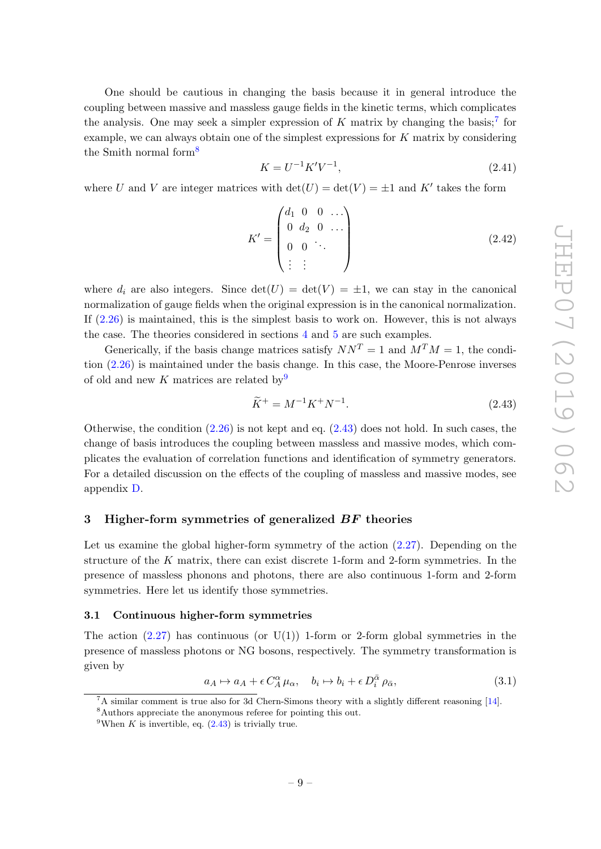One should be cautious in changing the basis because it in general introduce the coupling between massive and massless gauge fields in the kinetic terms, which complicates the analysis. One may seek a simpler expression of  $K$  matrix by changing the basis;<sup>[7](#page-9-2)</sup> for example, we can always obtain one of the simplest expressions for  $K$  matrix by considering the Smith normal form<sup>[8](#page-9-3)</sup>

$$
K = U^{-1} K' V^{-1}, \t\t(2.41)
$$

where U and V are integer matrices with  $\det(U) = \det(V) = \pm 1$  and K' takes the form

$$
K' = \begin{pmatrix} d_1 & 0 & 0 & \dots \\ 0 & d_2 & 0 & \dots \\ 0 & 0 & \ddots & \vdots \\ \vdots & \vdots & \ddots & \end{pmatrix}
$$
 (2.42)

where  $d_i$  are also integers. Since  $\det(U) = \det(V) = \pm 1$ , we can stay in the canonical normalization of gauge fields when the original expression is in the canonical normalization. If [\(2.26\)](#page-6-2) is maintained, this is the simplest basis to work on. However, this is not always the case. The theories considered in sections [4](#page-15-0) and [5](#page-19-1) are such examples.

Generically, if the basis change matrices satisfy  $NN^T = 1$  and  $M^T M = 1$ , the condition [\(2.26\)](#page-6-2) is maintained under the basis change. In this case, the Moore-Penrose inverses of old and new K matrices are related by  $9$ 

<span id="page-9-5"></span>
$$
\widetilde{K}^{+} = M^{-1} K^{+} N^{-1}.
$$
\n(2.43)

Otherwise, the condition  $(2.26)$  is not kept and eq.  $(2.43)$  does not hold. In such cases, the change of basis introduces the coupling between massless and massive modes, which complicates the evaluation of correlation functions and identification of symmetry generators. For a detailed discussion on the effects of the coupling of massless and massive modes, see appendix [D.](#page-24-0)

#### <span id="page-9-0"></span>3 Higher-form symmetries of generalized BF theories

Let us examine the global higher-form symmetry of the action [\(2.27\)](#page-6-3). Depending on the structure of the K matrix, there can exist discrete 1-form and 2-form symmetries. In the presence of massless phonons and photons, there are also continuous 1-form and 2-form symmetries. Here let us identify those symmetries.

#### <span id="page-9-1"></span>3.1 Continuous higher-form symmetries

The action  $(2.27)$  has continuous (or  $U(1)$ ) 1-form or 2-form global symmetries in the presence of massless photons or NG bosons, respectively. The symmetry transformation is given by

<span id="page-9-6"></span>
$$
a_A \mapsto a_A + \epsilon C_A^{\alpha} \mu_{\alpha}, \quad b_i \mapsto b_i + \epsilon D_i^{\bar{\alpha}} \rho_{\bar{\alpha}}, \tag{3.1}
$$

<span id="page-9-3"></span><span id="page-9-2"></span> ${}^{7}$ A similar comment is true also for 3d Chern-Simons theory with a slightly different reasoning [\[14\]](#page-29-5). <sup>8</sup>Authors appreciate the anonymous referee for pointing this out.

<span id="page-9-4"></span><sup>&</sup>lt;sup>9</sup>When K is invertible, eq.  $(2.43)$  is trivially true.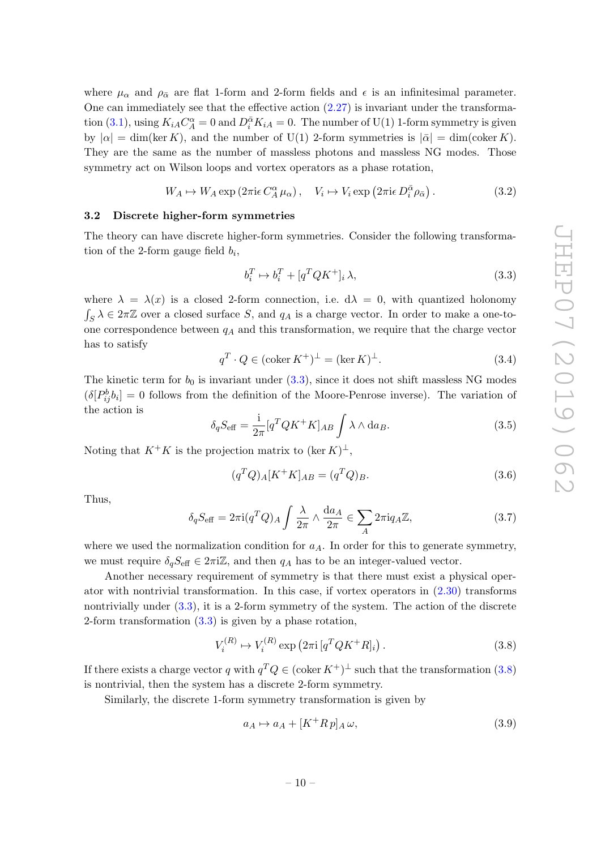where  $\mu_{\alpha}$  and  $\rho_{\bar{\alpha}}$  are flat 1-form and 2-form fields and  $\epsilon$  is an infinitesimal parameter. One can immediately see that the effective action  $(2.27)$  is invariant under the transforma-tion [\(3.1\)](#page-9-6), using  $K_{iA}C_A^{\alpha} = 0$  and  $D_i^{\bar{\alpha}}K_{iA} = 0$ . The number of U(1) 1-form symmetry is given by  $|\alpha| = \dim(\ker K)$ , and the number of U(1) 2-form symmetries is  $|\bar{\alpha}| = \dim(\text{coker } K)$ . They are the same as the number of massless photons and massless NG modes. Those symmetry act on Wilson loops and vortex operators as a phase rotation,

$$
W_A \mapsto W_A \exp\left(2\pi i\epsilon \, C_A^{\alpha} \,\mu_{\alpha}\right), \quad V_i \mapsto V_i \exp\left(2\pi i\epsilon \, D_i^{\bar{\alpha}} \rho_{\bar{\alpha}}\right). \tag{3.2}
$$

#### <span id="page-10-0"></span>3.2 Discrete higher-form symmetries

The theory can have discrete higher-form symmetries. Consider the following transformation of the 2-form gauge field  $b_i$ ,

<span id="page-10-1"></span>
$$
b_i^T \mapsto b_i^T + [q^T Q K^+]_i \lambda,\tag{3.3}
$$

where  $\lambda = \lambda(x)$  is a closed 2-form connection, i.e.  $d\lambda = 0$ , with quantized holonomy  $\int_S \lambda \in 2\pi\mathbb{Z}$  over a closed surface S, and  $q_A$  is a charge vector. In order to make a one-toone correspondence between  $q_A$  and this transformation, we require that the charge vector has to satisfy

$$
q^T \cdot Q \in (\operatorname{coker} K^+)^\perp = (\ker K)^\perp. \tag{3.4}
$$

The kinetic term for  $b_0$  is invariant under [\(3.3\)](#page-10-1), since it does not shift massless NG modes  $(\delta[P_{ij}^b b_i] = 0$  follows from the definition of the Moore-Penrose inverse). The variation of the action is

$$
\delta_q S_{\text{eff}} = \frac{1}{2\pi} [q^T Q K^+ K]_{AB} \int \lambda \wedge \text{d}a_B.
$$
 (3.5)

Noting that  $K^+K$  is the projection matrix to  $(\ker K)^{\perp}$ ,

$$
(q^T Q)_A [K^+ K]_{AB} = (q^T Q)_B. \tag{3.6}
$$

Thus,

$$
\delta_q S_{\text{eff}} = 2\pi i (q^T Q)_A \int \frac{\lambda}{2\pi} \wedge \frac{\text{d}a_A}{2\pi} \in \sum_A 2\pi i q_A \mathbb{Z},\tag{3.7}
$$

where we used the normalization condition for  $a<sub>A</sub>$ . In order for this to generate symmetry, we must require  $\delta_q S_{\text{eff}} \in 2\pi i \mathbb{Z}$ , and then  $q_A$  has to be an integer-valued vector.

Another necessary requirement of symmetry is that there must exist a physical operator with nontrivial transformation. In this case, if vortex operators in [\(2.30\)](#page-7-3) transforms nontrivially under [\(3.3\)](#page-10-1), it is a 2-form symmetry of the system. The action of the discrete 2-form transformation [\(3.3\)](#page-10-1) is given by a phase rotation,

<span id="page-10-2"></span>
$$
V_i^{(R)} \mapsto V_i^{(R)} \exp\left(2\pi i \left[q^T Q K^+ R\right]_i\right). \tag{3.8}
$$

If there exists a charge vector q with  $q^T Q \in (\text{coker } K^+)^{\perp}$  such that the transformation  $(3.8)$ is nontrivial, then the system has a discrete 2-form symmetry.

Similarly, the discrete 1-form symmetry transformation is given by

<span id="page-10-3"></span>
$$
a_A \mapsto a_A + [K^+ R \, p]_A \, \omega,\tag{3.9}
$$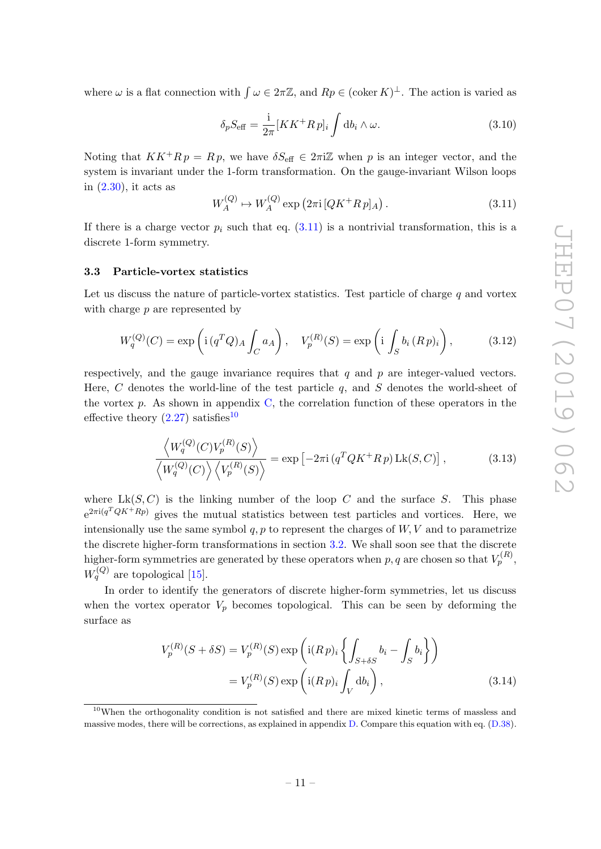where  $\omega$  is a flat connection with  $\int \omega \in 2\pi \mathbb{Z}$ , and  $Rp \in (\mathrm{coker}\,K)^{\perp}$ . The action is varied as

$$
\delta_p S_{\text{eff}} = \frac{1}{2\pi} [KK^+ R \, p]_i \int \mathrm{d}b_i \wedge \omega. \tag{3.10}
$$

Noting that  $KK^+R p = R p$ , we have  $\delta S_{\text{eff}} \in 2\pi i \mathbb{Z}$  when p is an integer vector, and the system is invariant under the 1-form transformation. On the gauge-invariant Wilson loops in [\(2.30\)](#page-7-3), it acts as

<span id="page-11-2"></span>
$$
W_A^{(Q)} \to W_A^{(Q)} \exp(2\pi i \left[QK^+R\,p\right]_A). \tag{3.11}
$$

If there is a charge vector  $p_i$  such that eq. [\(3.11\)](#page-11-2) is a nontrivial transformation, this is a discrete 1-form symmetry.

#### <span id="page-11-0"></span>3.3 Particle-vortex statistics

Let us discuss the nature of particle-vortex statistics. Test particle of charge  $q$  and vortex with charge  $p$  are represented by

$$
W_q^{(Q)}(C) = \exp\left(\mathrm{i}\left(q^TQ\right)_A \int_C a_A\right), \quad V_p^{(R)}(S) = \exp\left(\mathrm{i}\int_S b_i \left(Rp\right)_i\right),\tag{3.12}
$$

respectively, and the gauge invariance requires that  $q$  and  $p$  are integer-valued vectors. Here,  $C$  denotes the world-line of the test particle  $q$ , and  $S$  denotes the world-sheet of the vortex  $p$ . As shown in appendix  $C$ , the correlation function of these operators in the effective theory  $(2.27)$  satisfies<sup>[10](#page-11-3)</sup>

<span id="page-11-1"></span>
$$
\frac{\langle W_q^{(Q)}(C)V_p^{(R)}(S)\rangle}{\langle W_q^{(Q)}(C)\rangle\langle V_p^{(R)}(S)\rangle} = \exp\left[-2\pi i\left(q^TQK^+Rp\right)Lk(S,C)\right],\tag{3.13}
$$

where  $Lk(S, C)$  is the linking number of the loop C and the surface S. This phase  $e^{2\pi i(q^T Q K^+ R p)}$  gives the mutual statistics between test particles and vortices. Here, we intensionally use the same symbol  $q, p$  to represent the charges of  $W, V$  and to parametrize the discrete higher-form transformations in section [3.2.](#page-10-0) We shall soon see that the discrete higher-form symmetries are generated by these operators when  $p, q$  are chosen so that  $V_p^{(R)},$  $W_q^{(Q)}$  are topological [\[15\]](#page-29-6).

In order to identify the generators of discrete higher-form symmetries, let us discuss when the vortex operator  $V_p$  becomes topological. This can be seen by deforming the surface as

$$
V_p^{(R)}(S + \delta S) = V_p^{(R)}(S) \exp\left(\mathrm{i}(R p)_i \left\{ \int_{S + \delta S} b_i - \int_S b_i \right\} \right)
$$

$$
= V_p^{(R)}(S) \exp\left(\mathrm{i}(R p)_i \int_V \mathrm{d}b_i \right), \tag{3.14}
$$

<span id="page-11-3"></span><sup>10</sup>When the orthogonality condition is not satisfied and there are mixed kinetic terms of massless and massive modes, there will be corrections, as explained in appendix [D.](#page-24-0) Compare this equation with eq. [\(D.38\)](#page-28-0).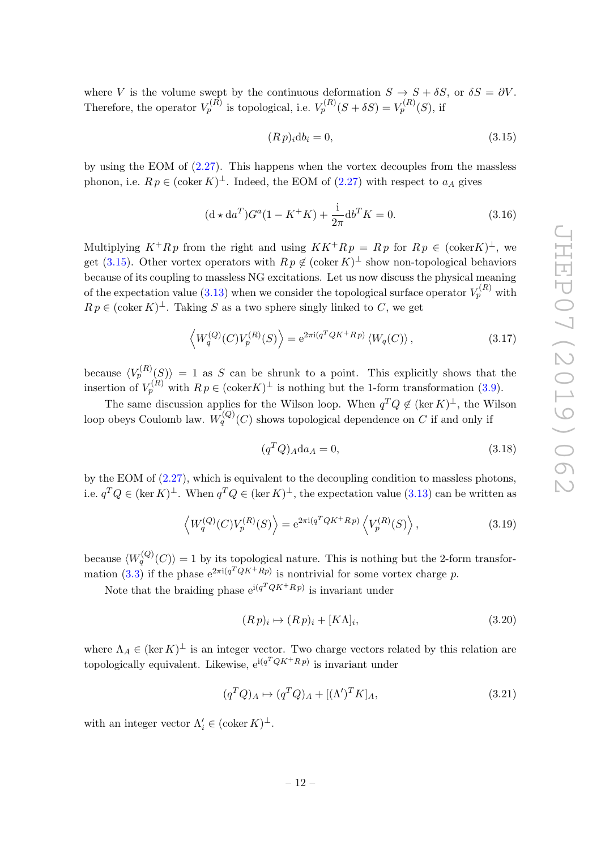where V is the volume swept by the continuous deformation  $S \to S + \delta S$ , or  $\delta S = \partial V$ . Therefore, the operator  $V_p^{(R)}$  is topological, i.e.  $V_p^{(R)}(S + \delta S) = V_p^{(R)}(S)$ , if

<span id="page-12-0"></span>
$$
(Rp)_i \mathrm{d}b_i = 0,\tag{3.15}
$$

by using the EOM of [\(2.27\)](#page-6-3). This happens when the vortex decouples from the massless phonon, i.e.  $R p \in (\mathrm{coker}\,K)^{\perp}$ . Indeed, the EOM of  $(2.27)$  with respect to  $a<sub>A</sub>$  gives

$$
(\mathbf{d} \star \mathbf{d} a^T) G^a (1 - K^+ K) + \frac{\mathbf{i}}{2\pi} \mathbf{d} b^T K = 0.
$$
 (3.16)

Multiplying  $K^+Rp$  from the right and using  $KK^+Rp = Rp$  for  $Rp \in (\mathrm{coker}K)^{\perp}$ , we get [\(3.15\)](#page-12-0). Other vortex operators with  $R p \notin (\text{coker } K)^{\perp}$  show non-topological behaviors because of its coupling to massless NG excitations. Let us now discuss the physical meaning of the expectation value [\(3.13\)](#page-11-1) when we consider the topological surface operator  $V_p^{(R)}$  with  $R p \in (\text{coker } K)^{\perp}$ . Taking S as a two sphere singly linked to C, we get

$$
\left\langle W_q^{(Q)}(C)V_p^{(R)}(S)\right\rangle = e^{2\pi i(q^TQK^+Rp)}\left\langle W_q(C)\right\rangle,\tag{3.17}
$$

because  $\langle V_p^{(R)}(S) \rangle = 1$  as S can be shrunk to a point. This explicitly shows that the insertion of  $V_p^{(R)}$  with  $R p \in (\text{coker } K)^{\perp}$  is nothing but the 1-form transformation [\(3.9\)](#page-10-3).

The same discussion applies for the Wilson loop. When  $q^TQ \notin (\ker K)^{\perp}$ , the Wilson loop obeys Coulomb law.  $W_q^{(Q)}(C)$  shows topological dependence on  $C$  if and only if

$$
(q^T Q)_A \mathrm{d}a_A = 0,\tag{3.18}
$$

by the EOM of [\(2.27\)](#page-6-3), which is equivalent to the decoupling condition to massless photons, i.e.  $q^TQ \in (\ker K)^{\perp}$ . When  $q^TQ \in (\ker K)^{\perp}$ , the expectation value  $(3.13)$  can be written as

$$
\left\langle W_q^{(Q)}(C)V_p^{(R)}(S)\right\rangle = e^{2\pi i(q^T Q K^+ R p)} \left\langle V_p^{(R)}(S)\right\rangle, \tag{3.19}
$$

because  $\langle W_q^{(Q)}(C) \rangle = 1$  by its topological nature. This is nothing but the 2-form transfor-mation [\(3.3\)](#page-10-1) if the phase  $e^{2\pi i(q^TQK^+Rp)}$  is nontrivial for some vortex charge p.

Note that the braiding phase  $e^{i(q^T Q K + R p)}$  is invariant under

$$
(R p)_i \mapsto (R p)_i + [K \Lambda]_i,\tag{3.20}
$$

where  $\Lambda_A \in (\ker K)^{\perp}$  is an integer vector. Two charge vectors related by this relation are topologically equivalent. Likewise,  $e^{i(q^T Q K^+ R p)}$  is invariant under

$$
(q^T Q)_A \mapsto (q^T Q)_A + [(\Lambda')^T K]_A,\tag{3.21}
$$

with an integer vector  $\Lambda'_i \in (\text{coker } K)^{\perp}$ .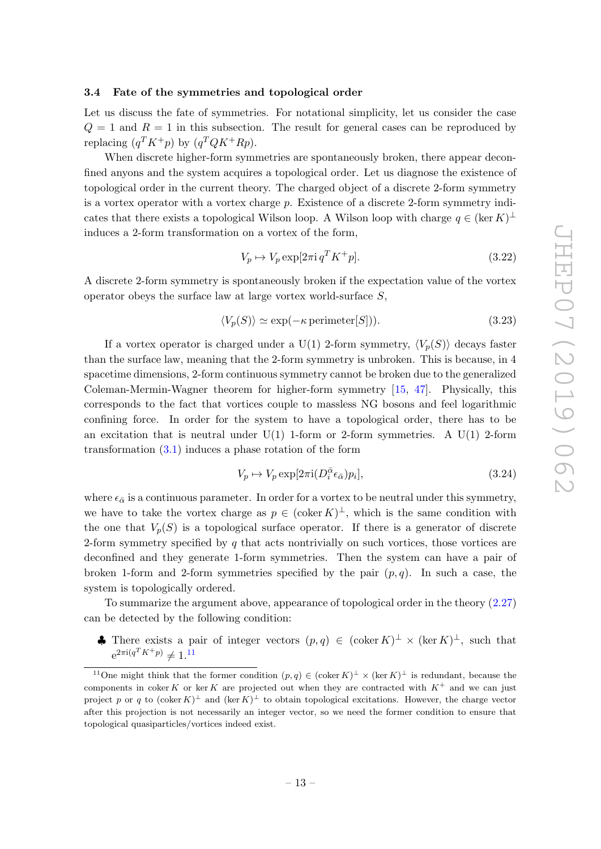## <span id="page-13-0"></span>3.4 Fate of the symmetries and topological order

Let us discuss the fate of symmetries. For notational simplicity, let us consider the case  $Q = 1$  and  $R = 1$  in this subsection. The result for general cases can be reproduced by replacing  $(q^T K^+ p)$  by  $(q^T Q K^+ R p)$ .

When discrete higher-form symmetries are spontaneously broken, there appear deconfined anyons and the system acquires a topological order. Let us diagnose the existence of topological order in the current theory. The charged object of a discrete 2-form symmetry is a vortex operator with a vortex charge  $p$ . Existence of a discrete 2-form symmetry indicates that there exists a topological Wilson loop. A Wilson loop with charge  $q \in (\ker K)^{\perp}$ induces a 2-form transformation on a vortex of the form,

$$
V_p \mapsto V_p \exp[2\pi i q^T K^+ p]. \tag{3.22}
$$

A discrete 2-form symmetry is spontaneously broken if the expectation value of the vortex operator obeys the surface law at large vortex world-surface S,

$$
\langle V_p(S) \rangle \simeq \exp(-\kappa \operatorname{perimeter}[S])). \tag{3.23}
$$

If a vortex operator is charged under a U(1) 2-form symmetry,  $\langle V_p(S) \rangle$  decays faster than the surface law, meaning that the 2-form symmetry is unbroken. This is because, in 4 spacetime dimensions, 2-form continuous symmetry cannot be broken due to the generalized Coleman-Mermin-Wagner theorem for higher-form symmetry [\[15,](#page-29-6) [47\]](#page-31-7). Physically, this corresponds to the fact that vortices couple to massless NG bosons and feel logarithmic confining force. In order for the system to have a topological order, there has to be an excitation that is neutral under  $U(1)$  1-form or 2-form symmetries. A  $U(1)$  2-form transformation [\(3.1\)](#page-9-6) induces a phase rotation of the form

$$
V_p \mapsto V_p \exp[2\pi i (D_i^{\bar{\alpha}} \epsilon_{\bar{\alpha}}) p_i],\tag{3.24}
$$

where  $\epsilon_{\bar{\alpha}}$  is a continuous parameter. In order for a vortex to be neutral under this symmetry, we have to take the vortex charge as  $p \in (\text{coker } K)^{\perp}$ , which is the same condition with the one that  $V_p(S)$  is a topological surface operator. If there is a generator of discrete 2-form symmetry specified by  $q$  that acts nontrivially on such vortices, those vortices are deconfined and they generate 1-form symmetries. Then the system can have a pair of broken 1-form and 2-form symmetries specified by the pair  $(p, q)$ . In such a case, the system is topologically ordered.

To summarize the argument above, appearance of topological order in the theory [\(2.27\)](#page-6-3) can be detected by the following condition:

**♦** There exists a pair of integer vectors  $(p,q) \in (\text{coker } K)^{\perp} \times (\text{ker } K)^{\perp}$ , such that  $e^{2\pi i (q^T K^+ p)} \neq 1.11$  $e^{2\pi i (q^T K^+ p)} \neq 1.11$ 

<span id="page-13-1"></span><sup>&</sup>lt;sup>11</sup>One might think that the former condition  $(p,q) \in (\text{coker } K)^{\perp} \times (\text{ker } K)^{\perp}$  is redundant, because the components in coker K or ker K are projected out when they are contracted with  $K^+$  and we can just project p or q to  $(\text{coker } K)^{\perp}$  and  $(\ker K)^{\perp}$  to obtain topological excitations. However, the charge vector after this projection is not necessarily an integer vector, so we need the former condition to ensure that topological quasiparticles/vortices indeed exist.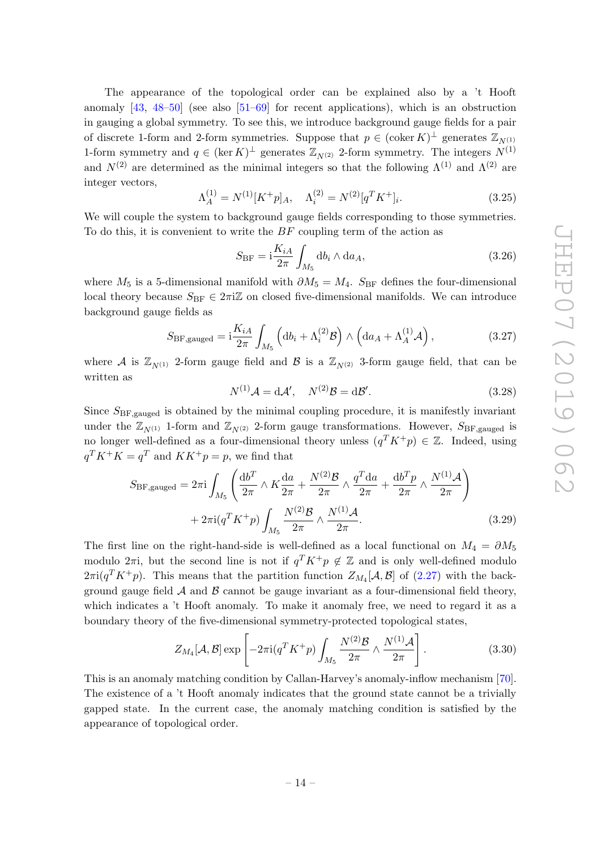The appearance of the topological order can be explained also by a 't Hooft anomaly  $[43, 48-50]$  $[43, 48-50]$  $[43, 48-50]$  (see also  $[51-69]$  $[51-69]$  for recent applications), which is an obstruction in gauging a global symmetry. To see this, we introduce background gauge fields for a pair of discrete 1-form and 2-form symmetries. Suppose that  $p \in (\mathrm{coker}\,K)^{\perp}$  generates  $\mathbb{Z}_{N^{(1)}}$ 1-form symmetry and  $q \in (\ker K)^{\perp}$  generates  $\mathbb{Z}_{N^{(2)}}$  2-form symmetry. The integers  $N^{(1)}$ and  $N^{(2)}$  are determined as the minimal integers so that the following  $\Lambda^{(1)}$  and  $\Lambda^{(2)}$  are integer vectors,

$$
\Lambda_A^{(1)} = N^{(1)}[K^+p]_A, \quad \Lambda_i^{(2)} = N^{(2)}[q^T K^+]_i.
$$
\n(3.25)

We will couple the system to background gauge fields corresponding to those symmetries. To do this, it is convenient to write the  $BF$  coupling term of the action as

$$
S_{\rm BF} = \mathbf{i}\frac{K_{iA}}{2\pi} \int_{M_5} \mathrm{d}b_i \wedge \mathrm{d}a_A,\tag{3.26}
$$

where  $M_5$  is a 5-dimensional manifold with  $\partial M_5 = M_4$ . S<sub>BF</sub> defines the four-dimensional local theory because  $S_{BF} \in 2\pi i \mathbb{Z}$  on closed five-dimensional manifolds. We can introduce background gauge fields as

$$
S_{\rm BF,gauged} = i \frac{K_{iA}}{2\pi} \int_{M_5} \left( db_i + \Lambda_i^{(2)} \mathcal{B} \right) \wedge \left( da_A + \Lambda_A^{(1)} \mathcal{A} \right), \tag{3.27}
$$

where A is  $\mathbb{Z}_{N(1)}$  2-form gauge field and B is a  $\mathbb{Z}_{N(2)}$  3-form gauge field, that can be written as

$$
N^{(1)}\mathcal{A} = d\mathcal{A}', \quad N^{(2)}\mathcal{B} = d\mathcal{B}'.
$$
\n(3.28)

Since  $S_{BF,gauged}$  is obtained by the minimal coupling procedure, it is manifestly invariant under the  $\mathbb{Z}_{N(1)}$  1-form and  $\mathbb{Z}_{N(2)}$  2-form gauge transformations. However,  $S_{\text{BF, gauged}}$  is no longer well-defined as a four-dimensional theory unless  $(q^T K^+ p) \in \mathbb{Z}$ . Indeed, using  $q^T K^+ K = q^T$  and  $K K^+ p = p$ , we find that

$$
S_{\rm BF, gauged} = 2\pi i \int_{M_5} \left( \frac{\mathrm{d}b^T}{2\pi} \wedge K \frac{\mathrm{d}a}{2\pi} + \frac{N^{(2)}\mathcal{B}}{2\pi} \wedge \frac{q^T \mathrm{d}a}{2\pi} + \frac{\mathrm{d}b^T p}{2\pi} \wedge \frac{N^{(1)}\mathcal{A}}{2\pi} \right) + 2\pi i (q^T K^+ p) \int_{M_5} \frac{N^{(2)}\mathcal{B}}{2\pi} \wedge \frac{N^{(1)}\mathcal{A}}{2\pi}.
$$
 (3.29)

The first line on the right-hand-side is well-defined as a local functional on  $M_4 = \partial M_5$ modulo  $2\pi i$ , but the second line is not if  $q^T K^+ p \notin \mathbb{Z}$  and is only well-defined modulo  $2\pi i(q^T K^+ p)$ . This means that the partition function  $Z_{M_4}[A, \mathcal{B}]$  of [\(2.27\)](#page-6-3) with the background gauge field  $A$  and  $B$  cannot be gauge invariant as a four-dimensional field theory, which indicates a 't Hooft anomaly. To make it anomaly free, we need to regard it as a boundary theory of the five-dimensional symmetry-protected topological states,

$$
Z_{M_4}[\mathcal{A}, \mathcal{B}] \exp \left[ -2\pi i (q^T K^+ p) \int_{M_5} \frac{N^{(2)} \mathcal{B}}{2\pi} \wedge \frac{N^{(1)} \mathcal{A}}{2\pi} \right]. \tag{3.30}
$$

This is an anomaly matching condition by Callan-Harvey's anomaly-inflow mechanism [\[70\]](#page-32-1). The existence of a 't Hooft anomaly indicates that the ground state cannot be a trivially gapped state. In the current case, the anomaly matching condition is satisfied by the appearance of topological order.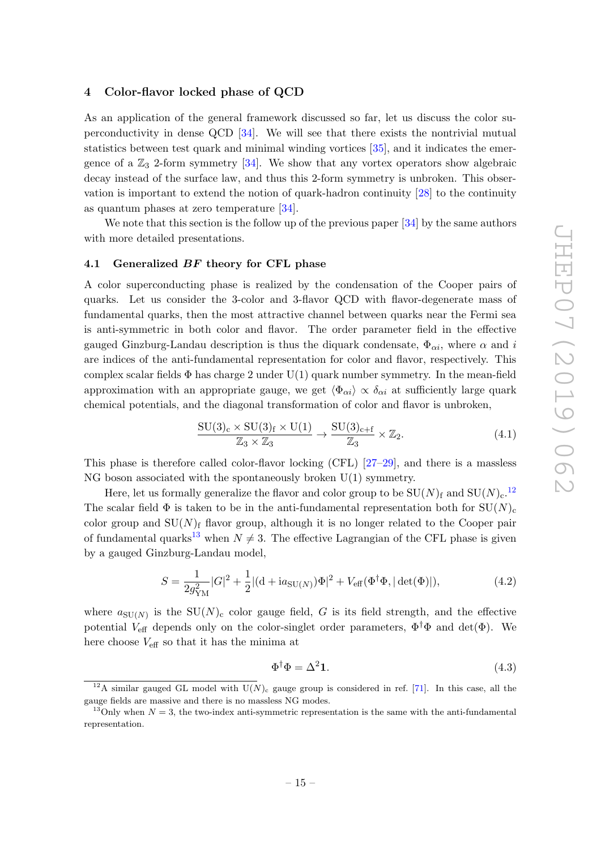## <span id="page-15-0"></span>4 Color-flavor locked phase of QCD

As an application of the general framework discussed so far, let us discuss the color superconductivity in dense QCD [\[34\]](#page-30-8). We will see that there exists the nontrivial mutual statistics between test quark and minimal winding vortices [\[35\]](#page-30-9), and it indicates the emergence of a  $\mathbb{Z}_3$  2-form symmetry [\[34\]](#page-30-8). We show that any vortex operators show algebraic decay instead of the surface law, and thus this 2-form symmetry is unbroken. This observation is important to extend the notion of quark-hadron continuity [\[28\]](#page-30-7) to the continuity as quantum phases at zero temperature [\[34\]](#page-30-8).

We note that this section is the follow up of the previous paper [\[34\]](#page-30-8) by the same authors with more detailed presentations.

#### <span id="page-15-1"></span>4.1 Generalized BF theory for CFL phase

A color superconducting phase is realized by the condensation of the Cooper pairs of quarks. Let us consider the 3-color and 3-flavor QCD with flavor-degenerate mass of fundamental quarks, then the most attractive channel between quarks near the Fermi sea is anti-symmetric in both color and flavor. The order parameter field in the effective gauged Ginzburg-Landau description is thus the diquark condensate,  $\Phi_{\alpha i}$ , where  $\alpha$  and i are indices of the anti-fundamental representation for color and flavor, respectively. This complex scalar fields  $\Phi$  has charge 2 under U(1) quark number symmetry. In the mean-field approximation with an appropriate gauge, we get  $\langle \Phi_{\alpha i} \rangle \propto \delta_{\alpha i}$  at sufficiently large quark chemical potentials, and the diagonal transformation of color and flavor is unbroken,

$$
\frac{\mathrm{SU}(3)_{\mathrm{c}} \times \mathrm{SU}(3)_{\mathrm{f}} \times \mathrm{U}(1)}{\mathbb{Z}_3 \times \mathbb{Z}_3} \to \frac{\mathrm{SU}(3)_{\mathrm{c}+\mathrm{f}}}{\mathbb{Z}_3} \times \mathbb{Z}_2. \tag{4.1}
$$

This phase is therefore called color-flavor locking (CFL) [\[27–](#page-30-12)[29\]](#page-30-4), and there is a massless NG boson associated with the spontaneously broken U(1) symmetry.

Here, let us formally generalize the flavor and color group to be  $SU(N)_f$  and  $SU(N)_c$ .<sup>[12](#page-15-2)</sup> The scalar field  $\Phi$  is taken to be in the anti-fundamental representation both for  $SU(N)_{c}$ color group and  $SU(N)<sub>f</sub>$  flavor group, although it is no longer related to the Cooper pair of fundamental quarks<sup>[13](#page-15-3)</sup> when  $N \neq 3$ . The effective Lagrangian of the CFL phase is given by a gauged Ginzburg-Landau model,

$$
S = \frac{1}{2g_{\rm YM}^2} |G|^2 + \frac{1}{2} |(\mathbf{d} + i a_{\rm SU(N)}) \Phi|^2 + V_{\rm eff}(\Phi^\dagger \Phi, |\det(\Phi)|),\tag{4.2}
$$

where  $a_{\text{SU}(N)}$  is the  $\text{SU}(N)_{\text{c}}$  color gauge field, G is its field strength, and the effective potential  $V_{\text{eff}}$  depends only on the color-singlet order parameters,  $\Phi^{\dagger} \Phi$  and  $\det(\Phi)$ . We here choose  $V_{\text{eff}}$  so that it has the minima at

<span id="page-15-4"></span>
$$
\Phi^{\dagger}\Phi = \Delta^2 \mathbf{1}.\tag{4.3}
$$

<span id="page-15-2"></span><sup>&</sup>lt;sup>12</sup>A similar gauged GL model with  $U(N)$ <sub>c</sub> gauge group is considered in ref. [\[71\]](#page-32-2). In this case, all the gauge fields are massive and there is no massless NG modes.

<span id="page-15-3"></span><sup>&</sup>lt;sup>13</sup>Only when  $N = 3$ , the two-index anti-symmetric representation is the same with the anti-fundamental representation.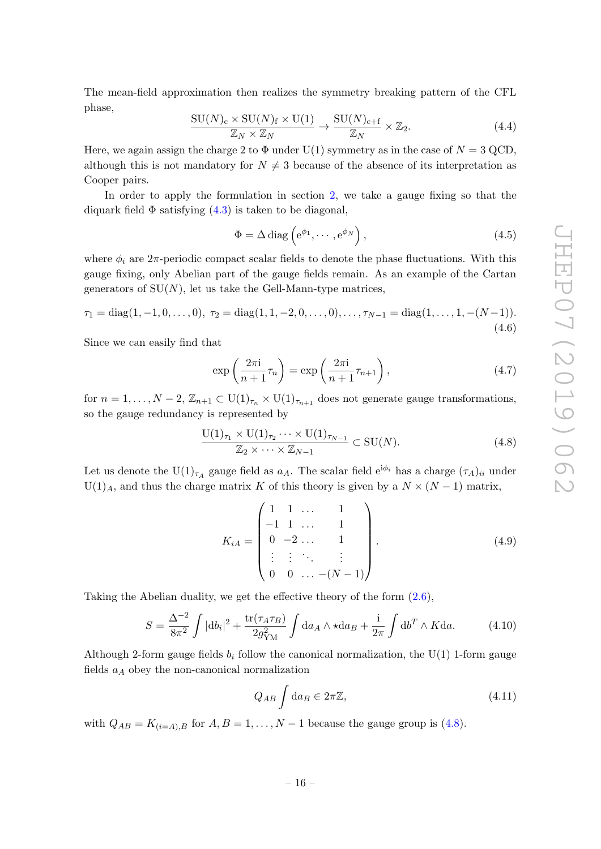The mean-field approximation then realizes the symmetry breaking pattern of the CFL phase,

$$
\frac{\mathrm{SU}(N)_{\mathrm{c}} \times \mathrm{SU}(N)_{\mathrm{f}} \times \mathrm{U}(1)}{\mathbb{Z}_N \times \mathbb{Z}_N} \to \frac{\mathrm{SU}(N)_{\mathrm{c}+\mathrm{f}}}{\mathbb{Z}_N} \times \mathbb{Z}_2. \tag{4.4}
$$

Here, we again assign the charge 2 to  $\Phi$  under U(1) symmetry as in the case of  $N = 3$  QCD, although this is not mandatory for  $N \neq 3$  because of the absence of its interpretation as Cooper pairs.

In order to apply the formulation in section [2,](#page-3-0) we take a gauge fixing so that the diquark field  $\Phi$  satisfying  $(4.3)$  is taken to be diagonal,

$$
\Phi = \Delta \operatorname{diag}\left(e^{\phi_1}, \cdots, e^{\phi_N}\right),\tag{4.5}
$$

where  $\phi_i$  are  $2\pi$ -periodic compact scalar fields to denote the phase fluctuations. With this gauge fixing, only Abelian part of the gauge fields remain. As an example of the Cartan generators of  $SU(N)$ , let us take the Gell-Mann-type matrices,

<span id="page-16-1"></span>
$$
\tau_1 = \text{diag}(1, -1, 0, \dots, 0), \ \tau_2 = \text{diag}(1, 1, -2, 0, \dots, 0), \dots, \tau_{N-1} = \text{diag}(1, \dots, 1, -(N-1)).
$$
\n(4.6)

Since we can easily find that

$$
\exp\left(\frac{2\pi i}{n+1}\tau_n\right) = \exp\left(\frac{2\pi i}{n+1}\tau_{n+1}\right),\tag{4.7}
$$

for  $n = 1, ..., N - 2$ ,  $\mathbb{Z}_{n+1} \subset U(1)_{\tau_n} \times U(1)_{\tau_{n+1}}$  does not generate gauge transformations, so the gauge redundancy is represented by

<span id="page-16-0"></span>
$$
\frac{\mathrm{U}(1)_{\tau_1} \times \mathrm{U}(1)_{\tau_2} \cdots \times \mathrm{U}(1)_{\tau_{N-1}}}{\mathbb{Z}_2 \times \cdots \times \mathbb{Z}_{N-1}} \subset \mathrm{SU}(N). \tag{4.8}
$$

Let us denote the  $U(1)_{\tau_A}$  gauge field as  $a_A$ . The scalar field  $e^{i\phi_i}$  has a charge  $(\tau_A)_{ii}$  under  $U(1)<sub>A</sub>$ , and thus the charge matrix K of this theory is given by a  $N \times (N-1)$  matrix,

<span id="page-16-2"></span>
$$
K_{iA} = \begin{pmatrix} 1 & 1 & \dots & 1 \\ -1 & 1 & \dots & 1 \\ 0 & -2 & \dots & 1 \\ \vdots & \vdots & \ddots & \vdots \\ 0 & 0 & \dots & -(N-1) \end{pmatrix} .
$$
 (4.9)

Taking the Abelian duality, we get the effective theory of the form [\(2.6\)](#page-4-3),

$$
S = \frac{\Delta^{-2}}{8\pi^2} \int |\mathrm{d}b_i|^2 + \frac{\mathrm{tr}(\tau_A \tau_B)}{2g_{\mathrm{YM}}^2} \int \mathrm{d}a_A \wedge \star \mathrm{d}a_B + \frac{\mathrm{i}}{2\pi} \int \mathrm{d}b^T \wedge K \mathrm{d}a. \tag{4.10}
$$

Although 2-form gauge fields  $b_i$  follow the canonical normalization, the U(1) 1-form gauge fields  $a<sub>A</sub>$  obey the non-canonical normalization

<span id="page-16-3"></span>
$$
Q_{AB} \int \mathrm{d}a_B \in 2\pi \mathbb{Z},\tag{4.11}
$$

with  $Q_{AB} = K_{(i=A),B}$  for  $A, B = 1, ..., N-1$  because the gauge group is [\(4.8\)](#page-16-0).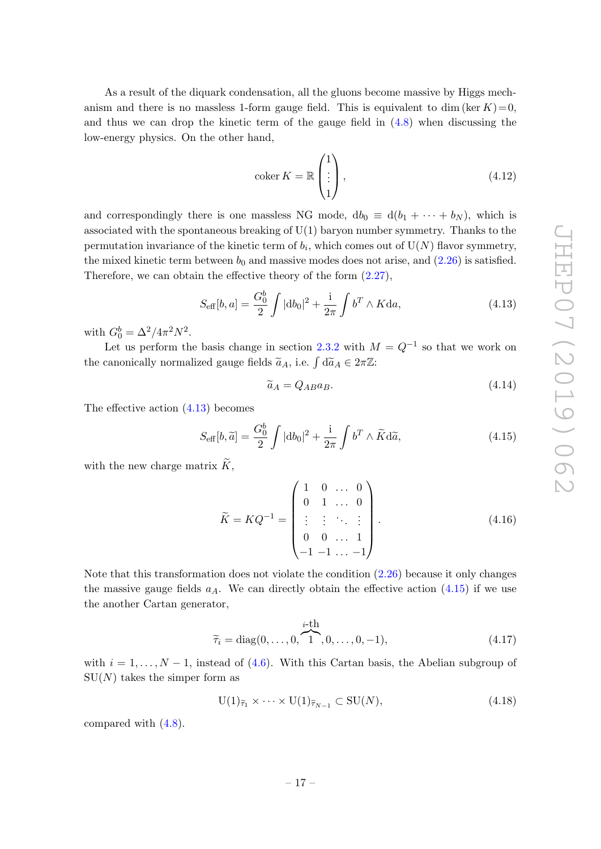As a result of the diquark condensation, all the gluons become massive by Higgs mechanism and there is no massless 1-form gauge field. This is equivalent to dim (ker  $K$ ) = 0, and thus we can drop the kinetic term of the gauge field in [\(4.8\)](#page-16-0) when discussing the low-energy physics. On the other hand,

$$
\operatorname{coker} K = \mathbb{R} \begin{pmatrix} 1 \\ \vdots \\ 1 \end{pmatrix},\tag{4.12}
$$

and correspondingly there is one massless NG mode,  $db_0 \equiv d(b_1 + \cdots + b_N)$ , which is associated with the spontaneous breaking of  $U(1)$  baryon number symmetry. Thanks to the permutation invariance of the kinetic term of  $b_i$ , which comes out of  $\mathrm{U}(N)$  flavor symmetry, the mixed kinetic term between  $b_0$  and massive modes does not arise, and  $(2.26)$  is satisfied. Therefore, we can obtain the effective theory of the form [\(2.27\)](#page-6-3),

<span id="page-17-0"></span>
$$
S_{\text{eff}}[b, a] = \frac{G_0^b}{2} \int |db_0|^2 + \frac{1}{2\pi} \int b^T \wedge K da,
$$
 (4.13)

with  $G_0^b = \Delta^2 / 4\pi^2 N^2$ .

Let us perform the basis change in section [2.3.2](#page-8-0) with  $M = Q^{-1}$  so that we work on the canonically normalized gauge fields  $\tilde{a}_A$ , i.e.  $\int d\tilde{a}_A \in 2\pi \mathbb{Z}$ :

$$
\widetilde{a}_A = Q_{AB} a_B. \tag{4.14}
$$

The effective action [\(4.13\)](#page-17-0) becomes

<span id="page-17-1"></span>
$$
S_{\text{eff}}[b,\widetilde{a}] = \frac{G_0^b}{2} \int |\mathrm{d}b_0|^2 + \frac{\mathrm{i}}{2\pi} \int b^T \wedge \widetilde{K} \mathrm{d}\widetilde{a},\tag{4.15}
$$

with the new charge matrix  $\widetilde{K}$ ,

$$
\widetilde{K} = KQ^{-1} = \begin{pmatrix} 1 & 0 & \dots & 0 \\ 0 & 1 & \dots & 0 \\ \vdots & \vdots & \ddots & \vdots \\ 0 & 0 & \dots & 1 \\ -1 & -1 & \dots & -1 \end{pmatrix} .
$$
\n(4.16)

Note that this transformation does not violate the condition [\(2.26\)](#page-6-2) because it only changes the massive gauge fields  $a<sub>A</sub>$ . We can directly obtain the effective action  $(4.15)$  if we use the another Cartan generator,

$$
\widetilde{\tau}_i = \text{diag}(0, \dots, 0, \overbrace{1}^{i \text{-th}}, 0, \dots, 0, -1), \tag{4.17}
$$

with  $i = 1, \ldots, N-1$ , instead of [\(4.6\)](#page-16-1). With this Cartan basis, the Abelian subgroup of  $SU(N)$  takes the simper form as

$$
U(1)\tilde{\tau}_1 \times \cdots \times U(1)\tilde{\tau}_{N-1} \subset SU(N), \tag{4.18}
$$

compared with [\(4.8\)](#page-16-0).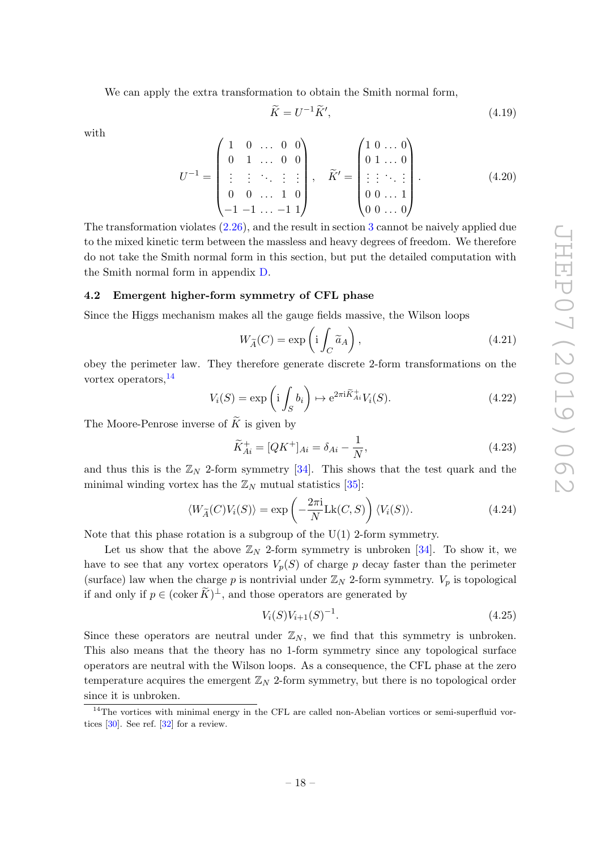We can apply the extra transformation to obtain the Smith normal form,

$$
\widetilde{K} = U^{-1}\widetilde{K}',\tag{4.19}
$$

with

$$
U^{-1} = \begin{pmatrix} 1 & 0 & \dots & 0 & 0 \\ 0 & 1 & \dots & 0 & 0 \\ \vdots & \vdots & \ddots & \vdots & \vdots \\ 0 & 0 & \dots & 1 & 0 \\ -1 & -1 & \dots & -1 & 1 \end{pmatrix}, \quad \widetilde{K}' = \begin{pmatrix} 1 & 0 & \dots & 0 \\ 0 & 1 & \dots & 0 \\ \vdots & \vdots & \ddots & \vdots \\ 0 & 0 & \dots & 1 \\ 0 & 0 & \dots & 0 \end{pmatrix}.
$$
 (4.20)

The transformation violates [\(2.26\)](#page-6-2), and the result in section [3](#page-9-0) cannot be naively applied due to the mixed kinetic term between the massless and heavy degrees of freedom. We therefore do not take the Smith normal form in this section, but put the detailed computation with the Smith normal form in appendix [D.](#page-24-0)

### <span id="page-18-0"></span>4.2 Emergent higher-form symmetry of CFL phase

Since the Higgs mechanism makes all the gauge fields massive, the Wilson loops

$$
W_{\widetilde{A}}(C) = \exp\left(i \int_C \widetilde{a}_A\right),\tag{4.21}
$$

obey the perimeter law. They therefore generate discrete 2-form transformations on the vortex operators,[14](#page-18-1)

$$
V_i(S) = \exp\left(i \int_S b_i\right) \mapsto e^{2\pi i \widetilde{K}_{Ai}^+} V_i(S). \tag{4.22}
$$

The Moore-Penrose inverse of  $K$  is given by

$$
\widetilde{K}_{Ai}^{+} = [QK^{+}]_{Ai} = \delta_{Ai} - \frac{1}{N},\tag{4.23}
$$

and thus this is the  $\mathbb{Z}_N$  2-form symmetry [\[34\]](#page-30-8). This shows that the test quark and the minimal winding vortex has the  $\mathbb{Z}_N$  mutual statistics [\[35\]](#page-30-9):

$$
\langle W_{\widetilde{A}}(C)V_i(S)\rangle = \exp\left(-\frac{2\pi i}{N}Lk(C,S)\right)\langle V_i(S)\rangle.
$$
 (4.24)

Note that this phase rotation is a subgroup of the  $U(1)$  2-form symmetry.

Let us show that the above  $\mathbb{Z}_N$  2-form symmetry is unbroken [\[34\]](#page-30-8). To show it, we have to see that any vortex operators  $V_p(S)$  of charge p decay faster than the perimeter (surface) law when the charge p is nontrivial under  $\mathbb{Z}_N$  2-form symmetry.  $V_p$  is topological if and only if  $p \in (\text{coker } \widetilde{K})^{\perp}$ , and those operators are generated by

$$
V_i(S)V_{i+1}(S)^{-1}.
$$
\n(4.25)

Since these operators are neutral under  $\mathbb{Z}_N$ , we find that this symmetry is unbroken. This also means that the theory has no 1-form symmetry since any topological surface operators are neutral with the Wilson loops. As a consequence, the CFL phase at the zero temperature acquires the emergent  $\mathbb{Z}_N$  2-form symmetry, but there is no topological order since it is unbroken.

<span id="page-18-1"></span><sup>&</sup>lt;sup>14</sup>The vortices with minimal energy in the CFL are called non-Abelian vortices or semi-superfluid vortices [\[30\]](#page-30-5). See ref. [\[32\]](#page-30-13) for a review.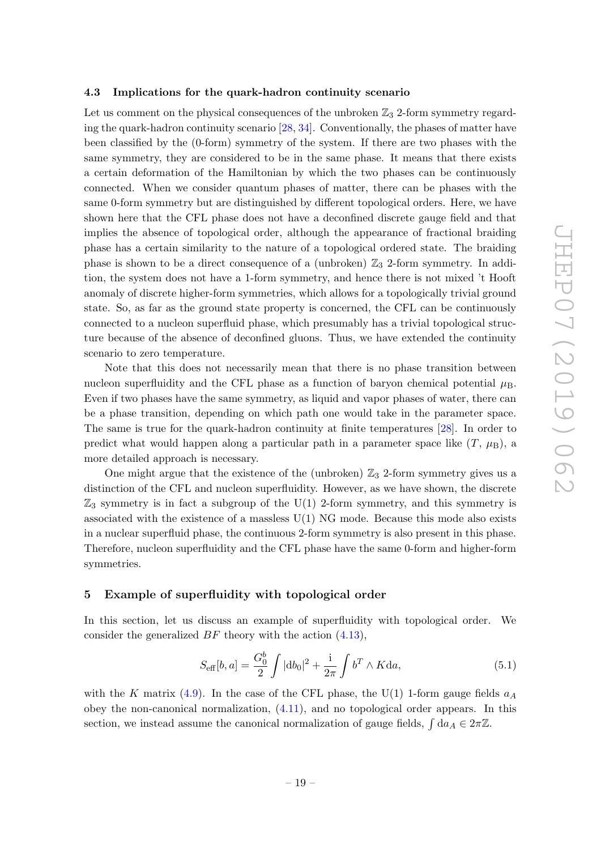#### <span id="page-19-0"></span>4.3 Implications for the quark-hadron continuity scenario

Let us comment on the physical consequences of the unbroken  $\mathbb{Z}_3$  2-form symmetry regarding the quark-hadron continuity scenario [\[28,](#page-30-7) [34\]](#page-30-8). Conventionally, the phases of matter have been classified by the (0-form) symmetry of the system. If there are two phases with the same symmetry, they are considered to be in the same phase. It means that there exists a certain deformation of the Hamiltonian by which the two phases can be continuously connected. When we consider quantum phases of matter, there can be phases with the same 0-form symmetry but are distinguished by different topological orders. Here, we have shown here that the CFL phase does not have a deconfined discrete gauge field and that implies the absence of topological order, although the appearance of fractional braiding phase has a certain similarity to the nature of a topological ordered state. The braiding phase is shown to be a direct consequence of a (unbroken)  $\mathbb{Z}_3$  2-form symmetry. In addition, the system does not have a 1-form symmetry, and hence there is not mixed 't Hooft anomaly of discrete higher-form symmetries, which allows for a topologically trivial ground state. So, as far as the ground state property is concerned, the CFL can be continuously connected to a nucleon superfluid phase, which presumably has a trivial topological structure because of the absence of deconfined gluons. Thus, we have extended the continuity scenario to zero temperature.

Note that this does not necessarily mean that there is no phase transition between nucleon superfluidity and the CFL phase as a function of baryon chemical potential  $\mu_B$ . Even if two phases have the same symmetry, as liquid and vapor phases of water, there can be a phase transition, depending on which path one would take in the parameter space. The same is true for the quark-hadron continuity at finite temperatures [\[28\]](#page-30-7). In order to predict what would happen along a particular path in a parameter space like  $(T, \mu_B)$ , a more detailed approach is necessary.

One might argue that the existence of the (unbroken)  $\mathbb{Z}_3$  2-form symmetry gives us a distinction of the CFL and nucleon superfluidity. However, as we have shown, the discrete  $\mathbb{Z}_3$  symmetry is in fact a subgroup of the U(1) 2-form symmetry, and this symmetry is associated with the existence of a massless  $U(1)$  NG mode. Because this mode also exists in a nuclear superfluid phase, the continuous 2-form symmetry is also present in this phase. Therefore, nucleon superfluidity and the CFL phase have the same 0-form and higher-form symmetries.

### <span id="page-19-1"></span>5 Example of superfluidity with topological order

In this section, let us discuss an example of superfluidity with topological order. We consider the generalized  $BF$  theory with the action  $(4.13)$ ,

<span id="page-19-2"></span>
$$
S_{\text{eff}}[b, a] = \frac{G_0^b}{2} \int |db_0|^2 + \frac{1}{2\pi} \int b^T \wedge K da,
$$
 (5.1)

with the K matrix [\(4.9\)](#page-16-2). In the case of the CFL phase, the U(1) 1-form gauge fields  $a_A$ obey the non-canonical normalization, [\(4.11\)](#page-16-3), and no topological order appears. In this section, we instead assume the canonical normalization of gauge fields,  $\int da_A \in 2\pi\mathbb{Z}$ .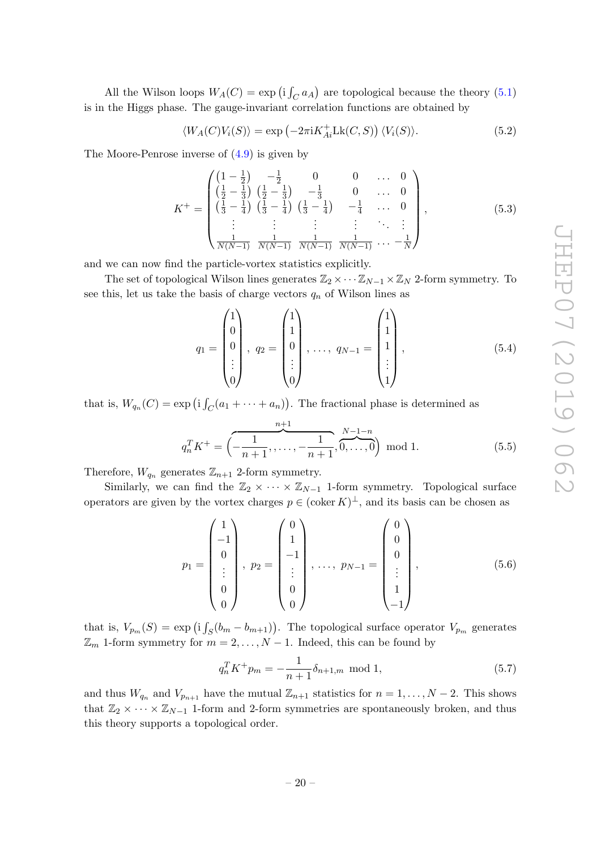All the Wilson loops  $W_A(C) = \exp(i \int_C a_A)$  are topological because the theory [\(5.1\)](#page-19-2) is in the Higgs phase. The gauge-invariant correlation functions are obtained by

$$
\langle W_A(C)V_i(S) \rangle = \exp\left(-2\pi i K_{Ai}^+ \text{Lk}(C, S)\right) \langle V_i(S) \rangle. \tag{5.2}
$$

The Moore-Penrose inverse of [\(4.9\)](#page-16-2) is given by

$$
K^{+} = \begin{pmatrix} \left(1 - \frac{1}{2}\right) & -\frac{1}{2} & 0 & 0 & \dots & 0\\ \left(\frac{1}{2} - \frac{1}{3}\right) & \left(\frac{1}{2} - \frac{1}{3}\right) & -\frac{1}{3} & 0 & \dots & 0\\ \left(\frac{1}{3} - \frac{1}{4}\right) & \left(\frac{1}{3} - \frac{1}{4}\right) & \left(\frac{1}{3} - \frac{1}{4}\right) & -\frac{1}{4} & \dots & 0\\ \vdots & \vdots & \vdots & \vdots & \ddots & \vdots\\ \frac{1}{N(N-1)} & \frac{1}{N(N-1)} & \frac{1}{N(N-1)} & \frac{1}{N(N-1)} & \dots & -\frac{1}{N} \end{pmatrix},\tag{5.3}
$$

and we can now find the particle-vortex statistics explicitly.

The set of topological Wilson lines generates  $\mathbb{Z}_2 \times \cdots \mathbb{Z}_{N-1} \times \mathbb{Z}_N$  2-form symmetry. To see this, let us take the basis of charge vectors  $q_n$  of Wilson lines as

$$
q_1 = \begin{pmatrix} 1 \\ 0 \\ 0 \\ \vdots \\ 0 \end{pmatrix}, \ q_2 = \begin{pmatrix} 1 \\ 1 \\ 0 \\ \vdots \\ 0 \end{pmatrix}, \ \dots, \ q_{N-1} = \begin{pmatrix} 1 \\ 1 \\ 1 \\ \vdots \\ 1 \end{pmatrix}, \tag{5.4}
$$

that is,  $W_{q_n}(C) = \exp(i \int_C (a_1 + \cdots + a_n)).$  The fractional phase is determined as

$$
q_n^T K^+ = \left(-\frac{1}{n+1}, \dots, -\frac{1}{n+1}, \overbrace{0, \dots, 0}^{N-1-n}\right) \mod 1. \tag{5.5}
$$

Therefore,  $W_{q_n}$  generates  $\mathbb{Z}_{n+1}$  2-form symmetry.

Similarly, we can find the  $\mathbb{Z}_2 \times \cdots \times \mathbb{Z}_{N-1}$  1-form symmetry. Topological surface operators are given by the vortex charges  $p \in (\text{coker } K)^{\perp}$ , and its basis can be chosen as

$$
p_1 = \begin{pmatrix} 1 \\ -1 \\ 0 \\ \vdots \\ 0 \\ 0 \end{pmatrix}, \ p_2 = \begin{pmatrix} 0 \\ 1 \\ -1 \\ \vdots \\ 0 \\ 0 \end{pmatrix}, \ \dots, \ p_{N-1} = \begin{pmatrix} 0 \\ 0 \\ 0 \\ \vdots \\ 1 \\ -1 \end{pmatrix}, \tag{5.6}
$$

that is,  $V_{p_m}(S) = \exp\left(i \int_S (b_m - b_{m+1})\right)$ . The topological surface operator  $V_{p_m}$  generates  $\mathbb{Z}_m$  1-form symmetry for  $m = 2, \ldots, N - 1$ . Indeed, this can be found by

$$
q_n^T K^+ p_m = -\frac{1}{n+1} \delta_{n+1,m} \text{ mod } 1,
$$
\n(5.7)

and thus  $W_{q_n}$  and  $V_{p_{n+1}}$  have the mutual  $\mathbb{Z}_{n+1}$  statistics for  $n = 1, \ldots, N-2$ . This shows that  $\mathbb{Z}_2 \times \cdots \times \mathbb{Z}_{N-1}$  1-form and 2-form symmetries are spontaneously broken, and thus this theory supports a topological order.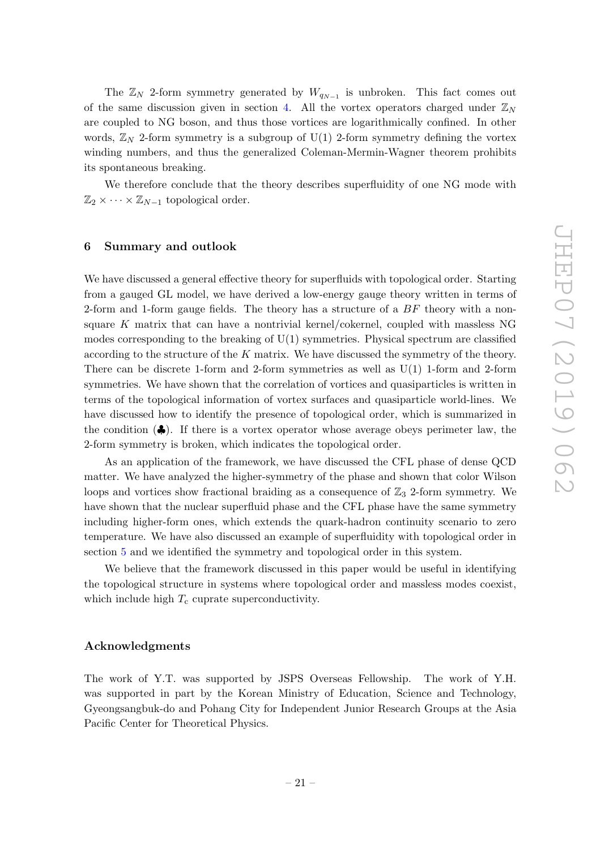The  $\mathbb{Z}_N$  2-form symmetry generated by  $W_{q_{N-1}}$  is unbroken. This fact comes out of the same discussion given in section [4.](#page-15-0) All the vortex operators charged under  $\mathbb{Z}_N$ are coupled to NG boson, and thus those vortices are logarithmically confined. In other words,  $\mathbb{Z}_N$  2-form symmetry is a subgroup of U(1) 2-form symmetry defining the vortex winding numbers, and thus the generalized Coleman-Mermin-Wagner theorem prohibits its spontaneous breaking.

We therefore conclude that the theory describes superfluidity of one NG mode with  $\mathbb{Z}_2 \times \cdots \times \mathbb{Z}_{N-1}$  topological order.

## <span id="page-21-0"></span>6 Summary and outlook

We have discussed a general effective theory for superfluids with topological order. Starting from a gauged GL model, we have derived a low-energy gauge theory written in terms of 2-form and 1-form gauge fields. The theory has a structure of a  $BF$  theory with a nonsquare  $K$  matrix that can have a nontrivial kernel/cokernel, coupled with massless NG modes corresponding to the breaking of  $U(1)$  symmetries. Physical spectrum are classified according to the structure of the  $K$  matrix. We have discussed the symmetry of the theory. There can be discrete 1-form and 2-form symmetries as well as U(1) 1-form and 2-form symmetries. We have shown that the correlation of vortices and quasiparticles is written in terms of the topological information of vortex surfaces and quasiparticle world-lines. We have discussed how to identify the presence of topological order, which is summarized in the condition  $($ . If there is a vortex operator whose average obeys perimeter law, the 2-form symmetry is broken, which indicates the topological order.

As an application of the framework, we have discussed the CFL phase of dense QCD matter. We have analyzed the higher-symmetry of the phase and shown that color Wilson loops and vortices show fractional braiding as a consequence of  $\mathbb{Z}_3$  2-form symmetry. We have shown that the nuclear superfluid phase and the CFL phase have the same symmetry including higher-form ones, which extends the quark-hadron continuity scenario to zero temperature. We have also discussed an example of superfluidity with topological order in section [5](#page-19-1) and we identified the symmetry and topological order in this system.

We believe that the framework discussed in this paper would be useful in identifying the topological structure in systems where topological order and massless modes coexist, which include high  $T_c$  cuprate superconductivity.

## Acknowledgments

The work of Y.T. was supported by JSPS Overseas Fellowship. The work of Y.H. was supported in part by the Korean Ministry of Education, Science and Technology, Gyeongsangbuk-do and Pohang City for Independent Junior Research Groups at the Asia Pacific Center for Theoretical Physics.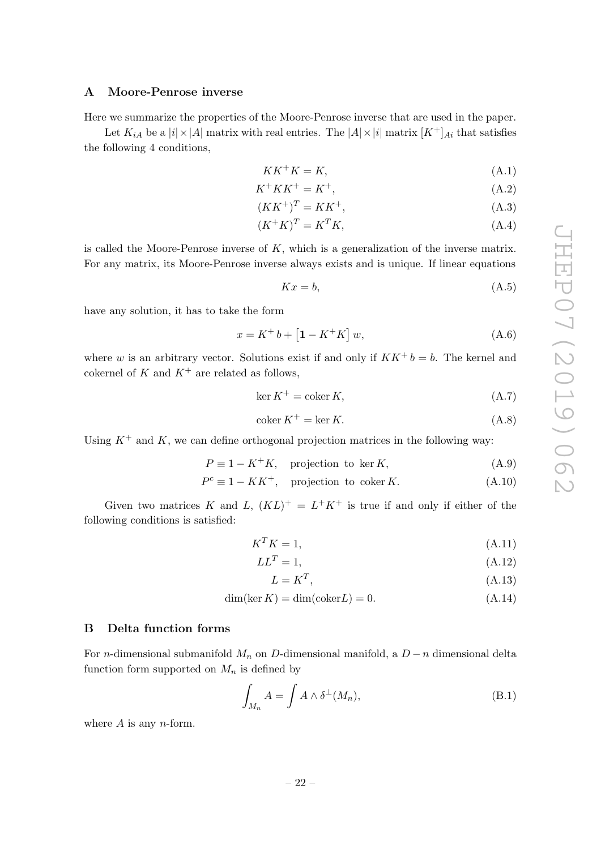#### <span id="page-22-0"></span>A Moore-Penrose inverse

Here we summarize the properties of the Moore-Penrose inverse that are used in the paper.

Let  $K_{iA}$  be a  $|i| \times |A|$  matrix with real entries. The  $|A| \times |i|$  matrix  $[K^+]_{Ai}$  that satisfies the following 4 conditions,

$$
KK^+K = K,\tag{A.1}
$$

$$
K^+KK^+ = K^+, \tag{A.2}
$$

$$
(KK^+)^T = KK^+, \tag{A.3}
$$

$$
(K^+K)^T = K^T K,\tag{A.4}
$$

is called the Moore-Penrose inverse of  $K$ , which is a generalization of the inverse matrix. For any matrix, its Moore-Penrose inverse always exists and is unique. If linear equations

$$
Kx = b,\tag{A.5}
$$

have any solution, it has to take the form

$$
x = K^+ b + [1 - K^+ K] w,
$$
 (A.6)

where w is an arbitrary vector. Solutions exist if and only if  $KK^+ b = b$ . The kernel and cokernel of K and  $K^+$  are related as follows,

$$
\ker K^{+} = \operatorname{coker} K, \tag{A.7}
$$

$$
coker K^{+} = \ker K.
$$
\n(A.8)

Using  $K^+$  and K, we can define orthogonal projection matrices in the following way:

$$
P \equiv 1 - K^{+}K, \quad \text{projection to } \ker K,
$$
\n(A.9)

$$
P^{c} \equiv 1 - KK^{+}, \quad \text{projection to coker } K. \tag{A.10}
$$

Given two matrices K and L,  $(KL)^{+} = L^{+}K^{+}$  is true if and only if either of the following conditions is satisfied:

$$
K^T K = 1,\t\t(A.11)
$$

$$
LL^T = 1,\tag{A.12}
$$

$$
L = K^T,\tag{A.13}
$$

$$
\dim(\ker K) = \dim(\text{coker} L) = 0. \tag{A.14}
$$

#### <span id="page-22-1"></span>B Delta function forms

For *n*-dimensional submanifold  $M_n$  on D-dimensional manifold, a  $D - n$  dimensional delta function form supported on  $M_n$  is defined by

$$
\int_{M_n} A = \int A \wedge \delta^{\perp}(M_n), \tag{B.1}
$$

where  $A$  is any *n*-form.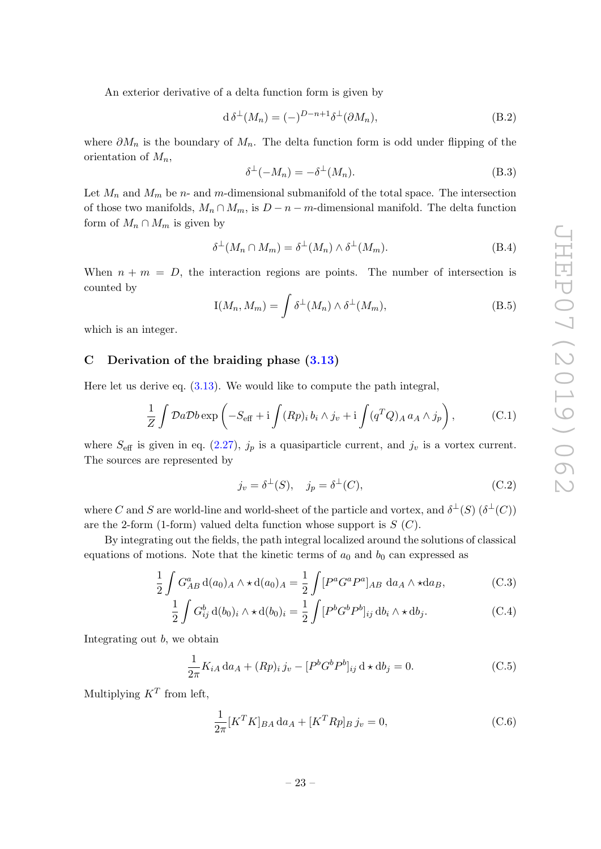An exterior derivative of a delta function form is given by

$$
d \delta^{\perp}(M_n) = (-)^{D-n+1} \delta^{\perp}(\partial M_n), \tag{B.2}
$$

where  $\partial M_n$  is the boundary of  $M_n$ . The delta function form is odd under flipping of the orientation of  $M_n$ ,

$$
\delta^{\perp}(-M_n) = -\delta^{\perp}(M_n). \tag{B.3}
$$

Let  $M_n$  and  $M_m$  be n- and m-dimensional submanifold of the total space. The intersection of those two manifolds,  $M_n \cap M_m$ , is  $D - n - m$ -dimensional manifold. The delta function form of  $M_n \cap M_m$  is given by

$$
\delta^{\perp}(M_n \cap M_m) = \delta^{\perp}(M_n) \wedge \delta^{\perp}(M_m). \tag{B.4}
$$

When  $n + m = D$ , the interaction regions are points. The number of intersection is counted by

$$
I(M_n, M_m) = \int \delta^{\perp}(M_n) \wedge \delta^{\perp}(M_m), \tag{B.5}
$$

which is an integer.

# <span id="page-23-0"></span>C Derivation of the braiding phase [\(3.13\)](#page-11-1)

Here let us derive eq.  $(3.13)$ . We would like to compute the path integral,

$$
\frac{1}{Z} \int \mathcal{D}a \mathcal{D}b \exp\left(-S_{\text{eff}} + i \int (Rp)_i b_i \wedge j_v + i \int (q^T Q)_A a_A \wedge j_p\right),\tag{C.1}
$$

where  $S_{\text{eff}}$  is given in eq. [\(2.27\)](#page-6-3),  $j_p$  is a quasiparticle current, and  $j_v$  is a vortex current. The sources are represented by

$$
j_v = \delta^{\perp}(S), \quad j_p = \delta^{\perp}(C), \tag{C.2}
$$

where C and S are world-line and world-sheet of the particle and vortex, and  $\delta^{\perp}(S)$   $(\delta^{\perp}(C))$ are the 2-form (1-form) valued delta function whose support is  $S(G)$ .

By integrating out the fields, the path integral localized around the solutions of classical equations of motions. Note that the kinetic terms of  $a_0$  and  $b_0$  can expressed as

$$
\frac{1}{2} \int G_{AB}^a d(a_0)_A \wedge \star d(a_0)_A = \frac{1}{2} \int [P^a G^a P^a]_{AB} da_A \wedge \star da_B, \tag{C.3}
$$

$$
\frac{1}{2} \int G_{ij}^b d(b_0)_i \wedge \star d(b_0)_i = \frac{1}{2} \int [P^b G^b P^b]_{ij} db_i \wedge \star db_j.
$$
 (C.4)

Integrating out b, we obtain

$$
\frac{1}{2\pi}K_{iA}\,da_A + (Rp)_i\,j_v - [P^bG^bP^b]_{ij}\,d \star db_j = 0.
$$
 (C.5)

Multiplying  $K^T$  from left,

$$
\frac{1}{2\pi} [K^T K]_{BA} da_A + [K^T R p]_B j_v = 0,
$$
\n(C.6)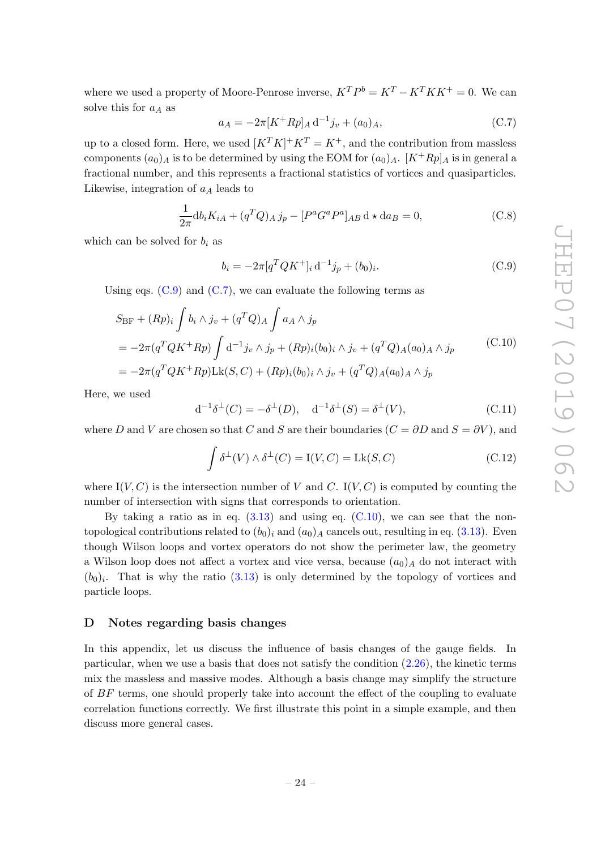where we used a property of Moore-Penrose inverse,  $K^T P^b = K^T - K^T K K^+ = 0$ . We can solve this for  $a_A$  as

<span id="page-24-2"></span>
$$
a_A = -2\pi [K^+ R p]_A d^{-1} j_v + (a_0)_A, \tag{C.7}
$$

up to a closed form. Here, we used  $[K^T K]^+ K^T = K^+$ , and the contribution from massless components  $(a_0)_A$  is to be determined by using the EOM for  $(a_0)_A$ .  $[K^+Rp]_A$  is in general a fractional number, and this represents a fractional statistics of vortices and quasiparticles. Likewise, integration of  $a<sub>A</sub>$  leads to

$$
\frac{1}{2\pi} \mathrm{d}b_i K_{iA} + (q^T Q)_A j_p - [P^a G^a P^a]_{AB} \, \mathrm{d} \star \mathrm{d}a_B = 0,\tag{C.8}
$$

which can be solved for  $b_i$  as

<span id="page-24-1"></span>
$$
b_i = -2\pi [q^T Q K^+]_i \, d^{-1} j_p + (b_0)_i. \tag{C.9}
$$

Using eqs.  $(C.9)$  and  $(C.7)$ , we can evaluate the following terms as

<span id="page-24-3"></span>
$$
S_{\rm BF} + (Rp)_i \int b_i \wedge j_v + (q^T Q)_A \int a_A \wedge j_p
$$
  
=  $-2\pi (q^T Q K^+ R p) \int d^{-1} j_v \wedge j_p + (R p)_i (b_0)_i \wedge j_v + (q^T Q)_A (a_0)_A \wedge j_p$  (C.10)  
=  $-2\pi (q^T Q K^+ R p) L k(S, C) + (R p)_i (b_0)_i \wedge j_v + (q^T Q)_A (a_0)_A \wedge j_p$ 

Here, we used

$$
d^{-1}\delta^{\perp}(C) = -\delta^{\perp}(D), \quad d^{-1}\delta^{\perp}(S) = \delta^{\perp}(V),
$$
 (C.11)

where D and V are chosen so that C and S are their boundaries  $(C = \partial D \text{ and } S = \partial V)$ , and

$$
\int \delta^{\perp}(V) \wedge \delta^{\perp}(C) = \mathcal{I}(V, C) = \mathcal{L}\mathcal{K}(S, C)
$$
\n(C.12)

where  $I(V, C)$  is the intersection number of V and C.  $I(V, C)$  is computed by counting the number of intersection with signs that corresponds to orientation.

By taking a ratio as in eq.  $(3.13)$  and using eq.  $(C.10)$ , we can see that the nontopological contributions related to  $(b_0)_i$  and  $(a_0)_A$  cancels out, resulting in eq. [\(3.13\)](#page-11-1). Even though Wilson loops and vortex operators do not show the perimeter law, the geometry a Wilson loop does not affect a vortex and vice versa, because  $(a_0)_A$  do not interact with  $(b_0)_i$ . That is why the ratio  $(3.13)$  is only determined by the topology of vortices and particle loops.

# <span id="page-24-0"></span>D Notes regarding basis changes

In this appendix, let us discuss the influence of basis changes of the gauge fields. In particular, when we use a basis that does not satisfy the condition [\(2.26\)](#page-6-2), the kinetic terms mix the massless and massive modes. Although a basis change may simplify the structure of BF terms, one should properly take into account the effect of the coupling to evaluate correlation functions correctly. We first illustrate this point in a simple example, and then discuss more general cases.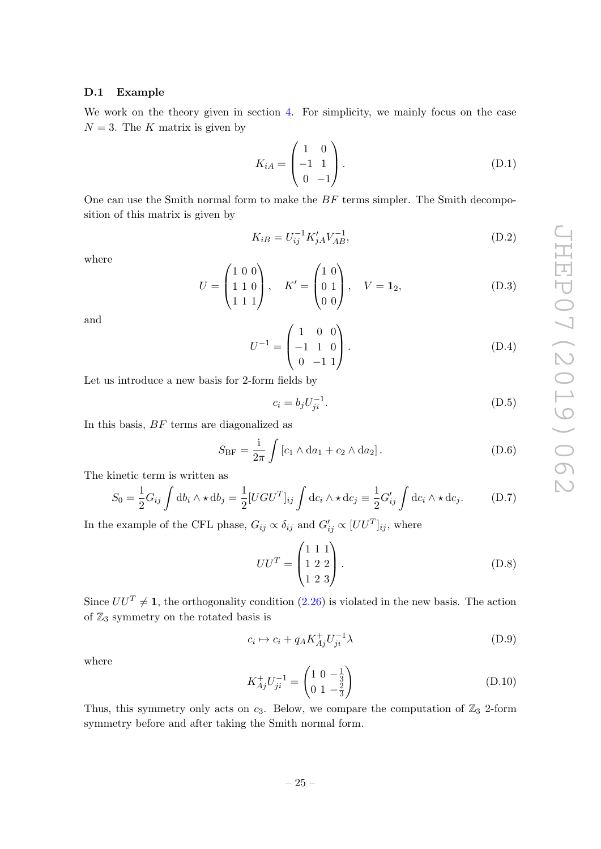### <span id="page-25-0"></span>D.1 Example

We work on the theory given in section [4.](#page-15-0) For simplicity, we mainly focus on the case  $N = 3$ . The K matrix is given by

$$
K_{iA} = \begin{pmatrix} 1 & 0 \\ -1 & 1 \\ 0 & -1 \end{pmatrix}.
$$
 (D.1)

One can use the Smith normal form to make the  $BF$  terms simpler. The Smith decomposition of this matrix is given by

$$
K_{iB} = U_{ij}^{-1} K'_{jA} V_{AB}^{-1},
$$
\n(D.2)

where

$$
U = \begin{pmatrix} 1 & 0 & 0 \\ 1 & 1 & 0 \\ 1 & 1 & 1 \end{pmatrix}, \quad K' = \begin{pmatrix} 1 & 0 \\ 0 & 1 \\ 0 & 0 \end{pmatrix}, \quad V = \mathbf{1}_2,
$$
 (D.3)

and

$$
U^{-1} = \begin{pmatrix} 1 & 0 & 0 \\ -1 & 1 & 0 \\ 0 & -1 & 1 \end{pmatrix}.
$$
 (D.4)

Let us introduce a new basis for 2-form fields by

$$
c_i = b_j U_{ji}^{-1}.
$$
 (D.5)

In this basis, BF terms are diagonalized as

$$
S_{\rm BF} = \frac{\rm i}{2\pi} \int \left[ c_1 \wedge \mathrm{d}a_1 + c_2 \wedge \mathrm{d}a_2 \right]. \tag{D.6}
$$

The kinetic term is written as

$$
S_0 = \frac{1}{2} G_{ij} \int \mathrm{d}b_i \wedge \star \mathrm{d}b_j = \frac{1}{2} [UGU^T]_{ij} \int \mathrm{d}c_i \wedge \star \mathrm{d}c_j \equiv \frac{1}{2} G'_{ij} \int \mathrm{d}c_i \wedge \star \mathrm{d}c_j.
$$
 (D.7)

In the example of the CFL phase,  $G_{ij} \propto \delta_{ij}$  and  $G'_{ij} \propto [UU^T]_{ij}$ , where

$$
UU^{T} = \begin{pmatrix} 1 & 1 & 1 \\ 1 & 2 & 2 \\ 1 & 2 & 3 \end{pmatrix}.
$$
 (D.8)

Since  $UU^T \neq 1$ , the orthogonality condition [\(2.26\)](#page-6-2) is violated in the new basis. The action of  $\mathbb{Z}_3$  symmetry on the rotated basis is

$$
c_i \mapsto c_i + q_A K_{Aj}^+ U_{ji}^{-1} \lambda \tag{D.9}
$$

where

$$
K_{Aj}^{+}U_{ji}^{-1} = \begin{pmatrix} 1 & 0 & -\frac{1}{3} \\ 0 & 1 & -\frac{2}{3} \end{pmatrix}
$$
 (D.10)

Thus, this symmetry only acts on  $c_3$ . Below, we compare the computation of  $\mathbb{Z}_3$  2-form symmetry before and after taking the Smith normal form.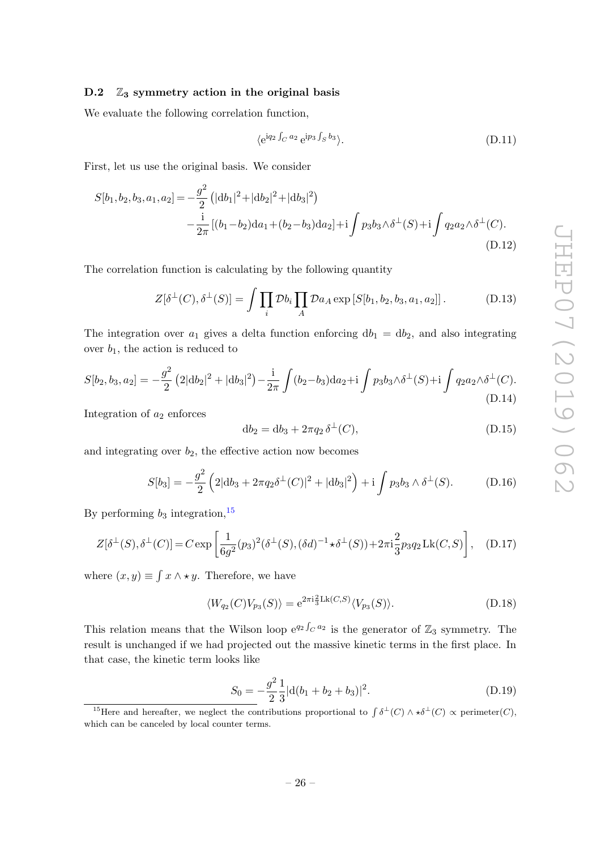# <span id="page-26-0"></span>D.2  $\mathbb{Z}_3$  symmetry action in the original basis

We evaluate the following correlation function,

<span id="page-26-2"></span>
$$
\langle e^{iq_2 \int_C a_2} e^{ip_3 \int_S b_3} \rangle.
$$
 (D.11)

First, let us use the original basis. We consider

$$
S[b_1, b_2, b_3, a_1, a_2] = -\frac{g^2}{2} \left( |db_1|^2 + |db_2|^2 + |db_3|^2 \right)
$$
  
 
$$
-\frac{i}{2\pi} \left[ (b_1 - b_2) da_1 + (b_2 - b_3) da_2 \right] + i \int p_3 b_3 \wedge \delta^{\perp}(S) + i \int q_2 a_2 \wedge \delta^{\perp}(C).
$$
(D.12)

The correlation function is calculating by the following quantity

$$
Z[\delta^{\perp}(C), \delta^{\perp}(S)] = \int \prod_i \mathcal{D}b_i \prod_A \mathcal{D}a_A \exp\left[S[b_1, b_2, b_3, a_1, a_2]\right]. \tag{D.13}
$$

The integration over  $a_1$  gives a delta function enforcing  $db_1 = db_2$ , and also integrating over  $b_1$ , the action is reduced to

$$
S[b_2, b_3, a_2] = -\frac{g^2}{2} (2|\mathrm{d}b_2|^2 + |\mathrm{d}b_3|^2) - \frac{\mathrm{i}}{2\pi} \int (b_2 - b_3) \mathrm{d}a_2 + \mathrm{i} \int p_3 b_3 \wedge \delta^{\perp}(S) + \mathrm{i} \int q_2 a_2 \wedge \delta^{\perp}(C). \tag{D.14}
$$

Integration of  $a_2$  enforces

$$
db_2 = db_3 + 2\pi q_2 \delta^{\perp}(C), \tag{D.15}
$$

and integrating over  $b_2$ , the effective action now becomes

<span id="page-26-3"></span>
$$
S[b_3] = -\frac{g^2}{2} \left( 2|\mathrm{d}b_3 + 2\pi q_2 \delta^{\perp}(C)|^2 + |\mathrm{d}b_3|^2 \right) + \mathrm{i} \int p_3 b_3 \wedge \delta^{\perp}(S). \tag{D.16}
$$

By performing  $b_3$  integration,  $^{15}$  $^{15}$  $^{15}$ 

$$
Z[\delta^{\perp}(S), \delta^{\perp}(C)] = C \exp\left[\frac{1}{6g^2}(p_3)^2(\delta^{\perp}(S), (\delta d)^{-1} \star \delta^{\perp}(S)) + 2\pi i \frac{2}{3}p_3 q_2 Lk(C, S)\right], \quad (D.17)
$$

where  $(x, y) \equiv \int x \wedge \star y$ . Therefore, we have

$$
\langle W_{q_2}(C)V_{p_3}(S)\rangle = e^{2\pi i \frac{2}{3} \text{Lk}(C,S)} \langle V_{p_3}(S)\rangle.
$$
 (D.18)

This relation means that the Wilson loop  $e^{q_2 \int_C a_2}$  is the generator of  $\mathbb{Z}_3$  symmetry. The result is unchanged if we had projected out the massive kinetic terms in the first place. In that case, the kinetic term looks like

$$
S_0 = -\frac{g^2}{2} \frac{1}{3} |d(b_1 + b_2 + b_3)|^2.
$$
 (D.19)

<span id="page-26-1"></span><sup>&</sup>lt;sup>15</sup>Here and hereafter, we neglect the contributions proportional to  $\int \delta^{\perp}(C) \wedge \star \delta^{\perp}(C) \propto$  perimeter(C), which can be canceled by local counter terms.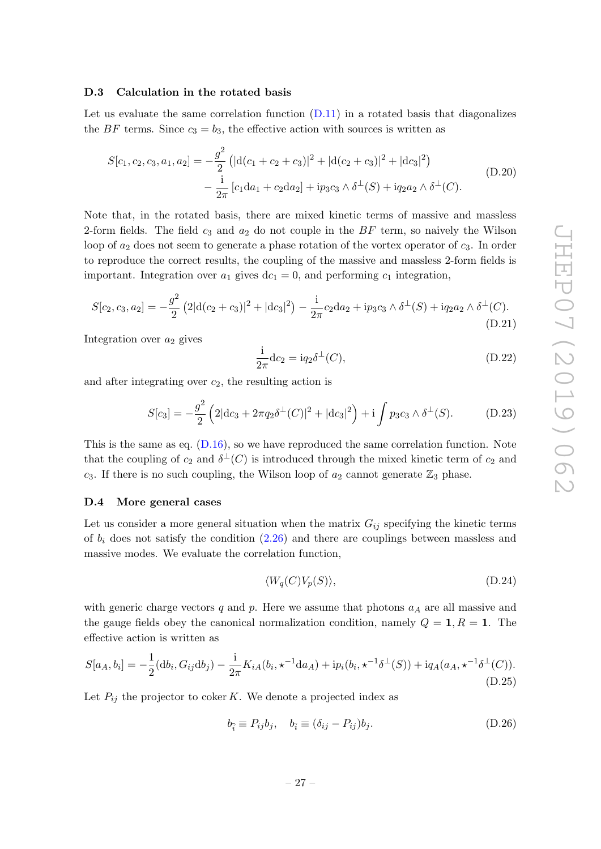## <span id="page-27-0"></span>D.3 Calculation in the rotated basis

Let us evaluate the same correlation function  $(D.11)$  in a rotated basis that diagonalizes the BF terms. Since  $c_3 = b_3$ , the effective action with sources is written as

$$
S[c_1, c_2, c_3, a_1, a_2] = -\frac{g^2}{2} \left( |d(c_1 + c_2 + c_3)|^2 + |d(c_2 + c_3)|^2 + |dc_3|^2 \right)
$$
  
 
$$
- \frac{i}{2\pi} \left[ c_1 da_1 + c_2 da_2 \right] + ip_3 c_3 \wedge \delta^{\perp}(S) + iq_2 a_2 \wedge \delta^{\perp}(C).
$$
 (D.20)

Note that, in the rotated basis, there are mixed kinetic terms of massive and massless 2-form fields. The field  $c_3$  and  $a_2$  do not couple in the  $BF$  term, so naively the Wilson loop of  $a_2$  does not seem to generate a phase rotation of the vortex operator of  $c_3$ . In order to reproduce the correct results, the coupling of the massive and massless 2-form fields is important. Integration over  $a_1$  gives  $dc_1 = 0$ , and performing  $c_1$  integration,

$$
S[c_2, c_3, a_2] = -\frac{g^2}{2} \left( 2|d(c_2 + c_3)|^2 + |dc_3|^2 \right) - \frac{i}{2\pi} c_2 da_2 + i p_3 c_3 \wedge \delta^{\perp}(S) + i q_2 a_2 \wedge \delta^{\perp}(C).
$$
\n(D.21)

Integration over  $a_2$  gives

$$
\frac{\mathrm{i}}{2\pi} \mathrm{d}c_2 = \mathrm{i} q_2 \delta^{\perp}(C),\tag{D.22}
$$

and after integrating over  $c_2$ , the resulting action is

$$
S[c_3] = -\frac{g^2}{2} \left( 2|\mathrm{d}c_3 + 2\pi q_2 \delta^{\perp}(C)|^2 + |\mathrm{d}c_3|^2 \right) + \mathrm{i} \int p_3 c_3 \wedge \delta^{\perp}(S). \tag{D.23}
$$

This is the same as eq.  $(D.16)$ , so we have reproduced the same correlation function. Note that the coupling of  $c_2$  and  $\delta^{\perp}(C)$  is introduced through the mixed kinetic term of  $c_2$  and  $c_3$ . If there is no such coupling, the Wilson loop of  $a_2$  cannot generate  $\mathbb{Z}_3$  phase.

#### <span id="page-27-1"></span>D.4 More general cases

Let us consider a more general situation when the matrix  $G_{ij}$  specifying the kinetic terms of  $b_i$  does not satisfy the condition  $(2.26)$  and there are couplings between massless and massive modes. We evaluate the correlation function,

<span id="page-27-2"></span>
$$
\langle W_q(C)V_p(S)\rangle, \tag{D.24}
$$

with generic charge vectors q and p. Here we assume that photons  $a<sub>A</sub>$  are all massive and the gauge fields obey the canonical normalization condition, namely  $Q = 1, R = 1$ . The effective action is written as

<span id="page-27-3"></span>
$$
S[a_A, b_i] = -\frac{1}{2}(\mathrm{d}b_i, G_{ij}\mathrm{d}b_j) - \frac{i}{2\pi}K_{iA}(b_i, \star^{-1}\mathrm{d}a_A) + \mathrm{i}p_i(b_i, \star^{-1}\delta^{\perp}(S)) + \mathrm{i}q_A(a_A, \star^{-1}\delta^{\perp}(C)).
$$
\n(D.25)

Let  $P_{ij}$  the projector to coker K. We denote a projected index as

$$
b_{\hat{i}} \equiv P_{ij}b_j, \quad b_{\bar{i}} \equiv (\delta_{ij} - P_{ij})b_j. \tag{D.26}
$$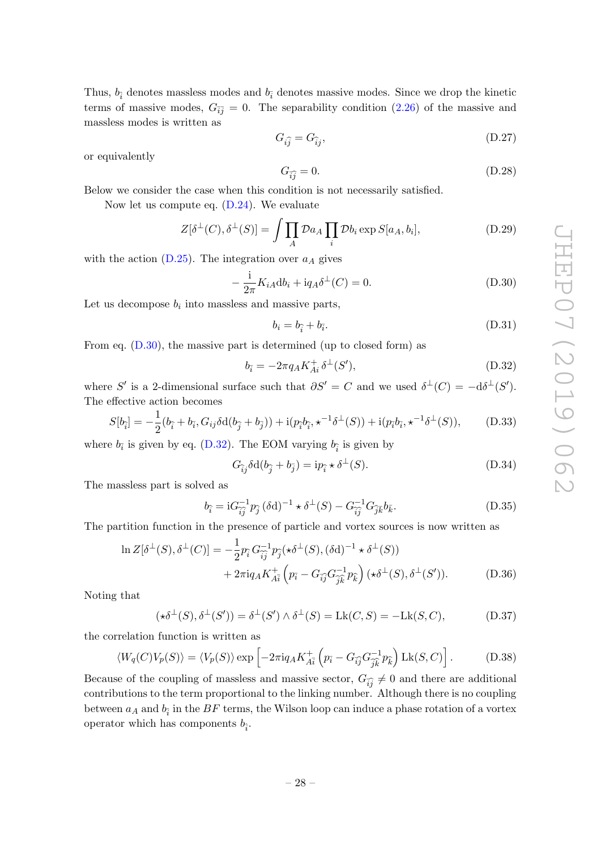Thus,  $b_{\hat{i}}$  denotes massless modes and  $b_{\hat{i}}$  denotes massive modes. Since we drop the kinetic terms of massive modes,  $G_{\overline{i}\overline{j}} = 0$ . The separability condition [\(2.26\)](#page-6-2) of the massive and massless modes is written as

$$
G_{i\hat{j}} = G_{\hat{i}j},\tag{D.27}
$$

or equivalently

$$
G_{\widehat{ij}} = 0.\t\t(D.28)
$$

Below we consider the case when this condition is not necessarily satisfied.

Now let us compute eq. [\(D.24\)](#page-27-2). We evaluate

$$
Z[\delta^{\perp}(C), \delta^{\perp}(S)] = \int \prod_{A} \mathcal{D}a_A \prod_i \mathcal{D}b_i \exp S[a_A, b_i], \tag{D.29}
$$

with the action  $(D.25)$ . The integration over  $a<sub>A</sub>$  gives

<span id="page-28-1"></span>
$$
-\frac{i}{2\pi}K_{iA}\mathrm{d}b_i + \mathrm{i}q_A\delta^\perp(C) = 0.
$$
 (D.30)

Let us decompose  $b_i$  into massless and massive parts,

$$
b_i = b_{\hat{i}} + b_{\hat{i}}.\tag{D.31}
$$

From eq.  $(D.30)$ , the massive part is determined (up to closed form) as

<span id="page-28-2"></span>
$$
b_{\bar{i}} = -2\pi q_A K_{Ai}^+ \delta^{\perp}(S'), \tag{D.32}
$$

where S' is a 2-dimensional surface such that  $\partial S' = C$  and we used  $\delta^{\perp}(C) = -d\delta^{\perp}(S')$ . The effective action becomes

$$
S[b_{\hat{i}}] = -\frac{1}{2}(b_{\hat{i}} + b_{\bar{i}}, G_{ij}\delta d(b_{\hat{j}} + b_{\bar{j}})) + i(p_{\hat{i}}b_{\hat{i}}, \star^{-1}\delta^{\perp}(S)) + i(p_{\bar{i}}b_{\bar{i}}, \star^{-1}\delta^{\perp}(S)),
$$
 (D.33)

where  $b_{\bar{i}}$  is given by eq. [\(D.32\)](#page-28-2). The EOM varying  $b_{\hat{i}}$  is given by

$$
G_{\hat{i}j}\delta d(b_{\hat{j}} + b_{\bar{j}}) = ip_{\hat{i}} \star \delta^{\perp}(S). \tag{D.34}
$$

The massless part is solved as

$$
b_{\hat{i}} = iG_{\hat{i}\hat{j}}^{-1}p_{\hat{j}} (\delta \mathbf{d})^{-1} \star \delta^{\perp}(S) - G_{\hat{i}\hat{j}}^{-1} G_{\hat{j}\bar{k}} b_{\bar{k}}.
$$
 (D.35)

The partition function in the presence of particle and vortex sources is now written as

$$
\ln Z[\delta^{\perp}(S), \delta^{\perp}(C)] = -\frac{1}{2} p_{\hat{i}} G_{\hat{i}\hat{j}}^{-1} p_{\hat{j}} (\star \delta^{\perp}(S), (\delta \mathrm{d})^{-1} \star \delta^{\perp}(S)) \n+ 2\pi i q_A K_{A\bar{i}}^{+} \left( p_{\bar{i}} - G_{\hat{i}\hat{j}} G_{\hat{j}\hat{k}}^{-1} p_{\hat{k}} \right) (\star \delta^{\perp}(S), \delta^{\perp}(S')).
$$
\n(D.36)

Noting that

$$
(\star \delta^{\perp}(S), \delta^{\perp}(S')) = \delta^{\perp}(S') \wedge \delta^{\perp}(S) = \text{Lk}(C, S) = -\text{Lk}(S, C), \tag{D.37}
$$

the correlation function is written as

<span id="page-28-0"></span>
$$
\langle W_q(C)V_p(S)\rangle = \langle V_p(S)\rangle \exp\left[-2\pi i q_A K_{A\bar{i}}^+\left(p_{\bar{i}} - G_{\bar{i}\bar{j}} G_{\bar{j}\bar{k}}^{-1} p_{\bar{k}}\right) \text{Lk}(S, C)\right].\tag{D.38}
$$

Because of the coupling of massless and massive sector,  $G_{\widehat{i}\widehat{j}} \neq 0$  and there are additional contributions to the term proportional to the linking number. Although there is no coupling between  $a_A$  and  $b_{\hat{i}}$  in the  $BF$  terms, the Wilson loop can induce a phase rotation of a vortex operator which has components  $b_i$ .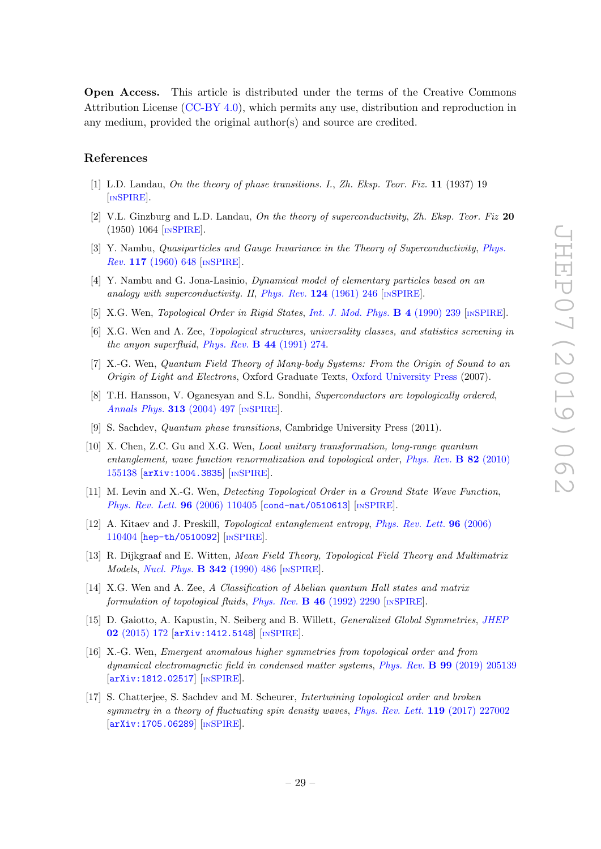Open Access. This article is distributed under the terms of the Creative Commons Attribution License [\(CC-BY 4.0\)](https://creativecommons.org/licenses/by/4.0/), which permits any use, distribution and reproduction in any medium, provided the original author(s) and source are credited.

# References

- <span id="page-29-0"></span>[1] L.D. Landau, On the theory of phase transitions. I., Zh. Eksp. Teor. Fiz. 11 (1937) 19 [IN[SPIRE](http://inspirehep.net/record/1634383)].
- [2] V.L. Ginzburg and L.D. Landau, On the theory of superconductivity, Zh. Eksp. Teor. Fiz  $20$ (1950) 1064 [IN[SPIRE](https://inspirehep.net/search?p=find+IRN+620327)].
- [3] Y. Nambu, Quasiparticles and Gauge Invariance in the Theory of Superconductivity, [Phys.](https://doi.org/10.1103/PhysRev.117.648) Rev. 117 [\(1960\) 648](https://doi.org/10.1103/PhysRev.117.648) [IN[SPIRE](https://inspirehep.net/search?p=find+J+%22Phys.Rev.,117,648%22)].
- <span id="page-29-1"></span>[4] Y. Nambu and G. Jona-Lasinio, Dynamical model of elementary particles based on an analogy with superconductivity. II, [Phys. Rev.](https://doi.org/10.1103/PhysRev.124.246)  $124$  (1961) 246 [IN[SPIRE](https://inspirehep.net/search?p=find+J+%22Phys.Rev.,124,246%22)].
- <span id="page-29-2"></span>[5] X.G. Wen, Topological Order in Rigid States, [Int. J. Mod. Phys.](https://doi.org/10.1142/S0217979290000139) B 4 (1990) 239 [IN[SPIRE](https://inspirehep.net/search?p=find+J+%22Int.J.Mod.Phys.,B4,239%22)].
- [6] X.G. Wen and A. Zee, Topological structures, universality classes, and statistics screening in the anyon superfluid, Phys. Rev. B 44 [\(1991\) 274.](https://doi.org/10.1103/PhysRevB.44.274)
- [7] X.-G. Wen, Quantum Field Theory of Many-body Systems: From the Origin of Sound to an Origin of Light and Electrons, Oxford Graduate Texts, [Oxford University Press](https://doi.org/10.1093/acprof:oso/9780199227259.001.0001) (2007).
- <span id="page-29-9"></span>[8] T.H. Hansson, V. Oganesyan and S.L. Sondhi, Superconductors are topologically ordered, [Annals Phys.](https://doi.org/10.1016/j.aop.2004.05.006) 313 (2004) 497 [IN[SPIRE](https://inspirehep.net/search?p=find+J+%22AnnalsPhys.,313,497%22)].
- [9] S. Sachdev, Quantum phase transitions, Cambridge University Press (2011).
- [10] X. Chen, Z.C. Gu and X.G. Wen, Local unitary transformation, long-range quantum entanglement, wave function renormalization and topological order, [Phys. Rev.](https://doi.org/10.1103/PhysRevB.82.155138) **B** 82 (2010) [155138](https://doi.org/10.1103/PhysRevB.82.155138) [[arXiv:1004.3835](https://arxiv.org/abs/1004.3835)] [IN[SPIRE](https://inspirehep.net/search?p=find+EPRINT+arXiv:1004.3835)].
- [11] M. Levin and X.-G. Wen, Detecting Topological Order in a Ground State Wave Function, [Phys. Rev. Lett.](https://doi.org/10.1103/PhysRevLett.96.110405) 96 (2006) 110405 [[cond-mat/0510613](https://arxiv.org/abs/cond-mat/0510613)] [IN[SPIRE](https://inspirehep.net/search?p=find+J+%22Phys.Rev.Lett.,96,110405%22)].
- <span id="page-29-3"></span>[12] A. Kitaev and J. Preskill, *Topological entanglement entropy*, *[Phys. Rev. Lett.](https://doi.org/10.1103/PhysRevLett.96.110404)* **96** (2006) [110404](https://doi.org/10.1103/PhysRevLett.96.110404) [[hep-th/0510092](https://arxiv.org/abs/hep-th/0510092)] [IN[SPIRE](https://inspirehep.net/search?p=find+J+%22Phys.Rev.Lett.,96,110404%22)].
- <span id="page-29-4"></span>[13] R. Dijkgraaf and E. Witten, Mean Field Theory, Topological Field Theory and Multimatrix Models, [Nucl. Phys.](https://doi.org/10.1016/0550-3213(90)90324-7) **B 342** (1990) 486 [IN[SPIRE](https://inspirehep.net/search?p=find+J+%22Nucl.Phys.,B342,486%22)].
- <span id="page-29-5"></span>[14] X.G. Wen and A. Zee, A Classification of Abelian quantum Hall states and matrix formulation of topological fluids, Phys. Rev.  $\bf{B}$  46 [\(1992\) 2290](https://doi.org/10.1103/PhysRevB.46.2290) [IN[SPIRE](https://inspirehep.net/search?p=find+J+%22Phys.Rev.,B46,2290%22)].
- <span id="page-29-6"></span>[15] D. Gaiotto, A. Kapustin, N. Seiberg and B. Willett, Generalized Global Symmetries, [JHEP](https://doi.org/10.1007/JHEP02(2015)172) 02 [\(2015\) 172](https://doi.org/10.1007/JHEP02(2015)172) [[arXiv:1412.5148](https://arxiv.org/abs/1412.5148)] [IN[SPIRE](https://inspirehep.net/search?p=find+EPRINT+arXiv:1412.5148)].
- <span id="page-29-7"></span>[16] X.-G. Wen, Emergent anomalous higher symmetries from topological order and from dynamical electromagnetic field in condensed matter systems, Phys. Rev. B 99 [\(2019\) 205139](https://doi.org/10.1103/PhysRevB.99.205139) [[arXiv:1812.02517](https://arxiv.org/abs/1812.02517)] [IN[SPIRE](https://inspirehep.net/search?p=find+EPRINT+arXiv:1812.02517)].
- <span id="page-29-8"></span>[17] S. Chatterjee, S. Sachdev and M. Scheurer, Intertwining topological order and broken symmetry in a theory of fluctuating spin density waves, [Phys. Rev. Lett.](https://doi.org/10.1103/PhysRevLett.119.227002) 119 (2017) 227002 [[arXiv:1705.06289](https://arxiv.org/abs/1705.06289)] [IN[SPIRE](https://inspirehep.net/search?p=find+EPRINT+arXiv:1705.06289)].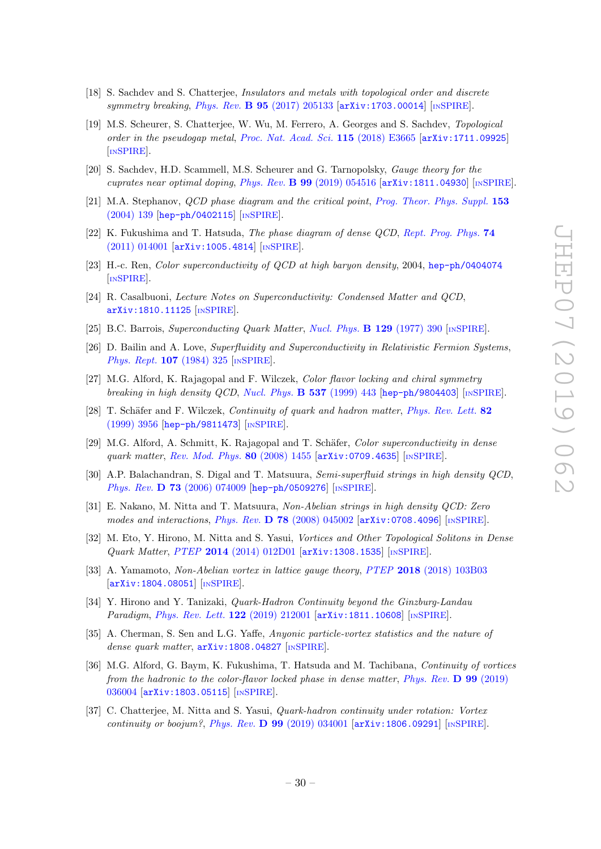- [18] S. Sachdev and S. Chatterjee, Insulators and metals with topological order and discrete symmetry breaking, Phys. Rev.  $\bf{B}$  95 [\(2017\) 205133](https://doi.org/10.1103/PhysRevB.95.205133)  $\bf{arXiv:}$  1703.00014 [IN[SPIRE](https://inspirehep.net/search?p=find+EPRINT+arXiv:1703.00014)].
- [19] M.S. Scheurer, S. Chatterjee, W. Wu, M. Ferrero, A. Georges and S. Sachdev, Topological order in the pseudogap metal, [Proc. Nat. Acad. Sci.](https://doi.org/10.1073/pnas.1720580115) 115 (2018) E3665 [arXiv: 1711.09925] [IN[SPIRE](https://inspirehep.net/search?p=find+EPRINT+arXiv:1711.09925)].
- <span id="page-30-0"></span>[20] S. Sachdev, H.D. Scammell, M.S. Scheurer and G. Tarnopolsky, Gauge theory for the cuprates near optimal doping, Phys. Rev.  $\bf{B}$  99 [\(2019\) 054516](https://doi.org/10.1103/PhysRevB.99.054516) [[arXiv:1811.04930](https://arxiv.org/abs/1811.04930)] [IN[SPIRE](https://inspirehep.net/search?p=find+EPRINT+arXiv:1811.04930)].
- <span id="page-30-1"></span>[21] M.A. Stephanov, *QCD phase diagram and the critical point*, *[Prog. Theor. Phys. Suppl.](https://doi.org/10.1142/S0217751X05027965)* 153 [\(2004\) 139](https://doi.org/10.1142/S0217751X05027965) [[hep-ph/0402115](https://arxiv.org/abs/hep-ph/0402115)] [IN[SPIRE](https://inspirehep.net/search?p=find+EPRINT+hep-ph/0402115)].
- [22] K. Fukushima and T. Hatsuda, The phase diagram of dense QCD, [Rept. Prog. Phys.](https://doi.org/10.1088/0034-4885/74/1/014001) 74 [\(2011\) 014001](https://doi.org/10.1088/0034-4885/74/1/014001) [[arXiv:1005.4814](https://arxiv.org/abs/1005.4814)] [IN[SPIRE](https://inspirehep.net/search?p=find+EPRINT+arXiv:1005.4814)].
- [23] H.-c. Ren, Color superconductivity of QCD at high baryon density, 2004, [hep-ph/0404074](https://arxiv.org/abs/hep-ph/0404074) [IN[SPIRE](https://inspirehep.net/search?p=find+EPRINT+hep-ph/0404074)].
- <span id="page-30-2"></span>[24] R. Casalbuoni, Lecture Notes on Superconductivity: Condensed Matter and QCD, [arXiv:1810.11125](https://arxiv.org/abs/1810.11125) [IN[SPIRE](https://inspirehep.net/search?p=find+EPRINT+arXiv:1810.11125)].
- <span id="page-30-3"></span>[25] B.C. Barrois, Superconducting Quark Matter, [Nucl. Phys.](https://doi.org/10.1016/0550-3213(77)90123-7) B 129 (1977) 390 [IN[SPIRE](https://inspirehep.net/search?p=find+J+%22Nucl.Phys.,B129,390%22)].
- [26] D. Bailin and A. Love, Superfluidity and Superconductivity in Relativistic Fermion Systems, [Phys. Rept.](https://doi.org/10.1016/0370-1573(84)90145-5) **107** (1984) 325 [IN[SPIRE](https://inspirehep.net/search?p=find+J+%22Phys.Rept.,107,325%22)].
- <span id="page-30-12"></span>[27] M.G. Alford, K. Rajagopal and F. Wilczek, Color flavor locking and chiral symmetry breaking in high density  $QCD$ , [Nucl. Phys.](https://doi.org/10.1016/S0550-3213(98)00668-3) **B** 537 (1999) 443 [[hep-ph/9804403](https://arxiv.org/abs/hep-ph/9804403)] [IN[SPIRE](https://inspirehep.net/search?p=find+EPRINT+hep-ph/9804403)].
- <span id="page-30-7"></span>[28] T. Schäfer and F. Wilczek, Continuity of quark and hadron matter, [Phys. Rev. Lett.](https://doi.org/10.1103/PhysRevLett.82.3956) 82 [\(1999\) 3956](https://doi.org/10.1103/PhysRevLett.82.3956) [[hep-ph/9811473](https://arxiv.org/abs/hep-ph/9811473)] [IN[SPIRE](https://inspirehep.net/search?p=find+EPRINT+hep-ph/9811473)].
- <span id="page-30-4"></span>[29] M.G. Alford, A. Schmitt, K. Rajagopal and T. Schäfer, *Color superconductivity in dense* quark matter, [Rev. Mod. Phys.](https://doi.org/10.1103/RevModPhys.80.1455) 80 (2008) 1455 [[arXiv:0709.4635](https://arxiv.org/abs/0709.4635)] [IN[SPIRE](https://inspirehep.net/search?p=find+EPRINT+arXiv:0709.4635)].
- <span id="page-30-5"></span>[30] A.P. Balachandran, S. Digal and T. Matsuura, Semi-superfluid strings in high density QCD, Phys. Rev. D 73 [\(2006\) 074009](https://doi.org/10.1103/PhysRevD.73.074009) [[hep-ph/0509276](https://arxiv.org/abs/hep-ph/0509276)] [IN[SPIRE](https://inspirehep.net/search?p=find+EPRINT+hep-ph/0509276)].
- [31] E. Nakano, M. Nitta and T. Matsuura, Non-Abelian strings in high density QCD: Zero modes and interactions, Phys. Rev.  $\overline{D}$  78 [\(2008\) 045002](https://doi.org/10.1103/PhysRevD.78.045002) [[arXiv:0708.4096](https://arxiv.org/abs/0708.4096)] [IN[SPIRE](https://inspirehep.net/search?p=find+EPRINT+arXiv:0708.4096)].
- <span id="page-30-13"></span>[32] M. Eto, Y. Hirono, M. Nitta and S. Yasui, Vortices and Other Topological Solitons in Dense Quark Matter, PTEP 2014 [\(2014\) 012D01](https://doi.org/10.1093/ptep/ptt095) [[arXiv:1308.1535](https://arxiv.org/abs/1308.1535)] [IN[SPIRE](https://inspirehep.net/search?p=find+EPRINT+arXiv:1308.1535)].
- <span id="page-30-6"></span>[33] A. Yamamoto, Non-Abelian vortex in lattice gauge theory, PTEP 2018 [\(2018\) 103B03](https://doi.org/10.1093/ptep/pty106) [[arXiv:1804.08051](https://arxiv.org/abs/1804.08051)] [IN[SPIRE](https://inspirehep.net/search?p=find+EPRINT+arXiv:1804.08051)].
- <span id="page-30-8"></span>[34] Y. Hirono and Y. Tanizaki, Quark-Hadron Continuity beyond the Ginzburg-Landau Paradigm, [Phys. Rev. Lett.](https://doi.org/10.1103/PhysRevLett.122.212001) 122 (2019) 212001 [[arXiv:1811.10608](https://arxiv.org/abs/1811.10608)] [IN[SPIRE](https://inspirehep.net/search?p=find+EPRINT+arXiv:1811.10608)].
- <span id="page-30-9"></span>[35] A. Cherman, S. Sen and L.G. Yaffe, Anyonic particle-vortex statistics and the nature of dense quark matter,  $arXiv:1808.04827$  [IN[SPIRE](https://inspirehep.net/search?p=find+EPRINT+arXiv:1808.04827)].
- <span id="page-30-10"></span>[36] M.G. Alford, G. Baym, K. Fukushima, T. Hatsuda and M. Tachibana, Continuity of vortices from the hadronic to the color-flavor locked phase in dense matter, [Phys. Rev.](https://doi.org/10.1103/PhysRevD.99.036004) D 99 (2019) [036004](https://doi.org/10.1103/PhysRevD.99.036004) [[arXiv:1803.05115](https://arxiv.org/abs/1803.05115)] [IN[SPIRE](https://inspirehep.net/search?p=find+EPRINT+arXiv:1803.05115)].
- <span id="page-30-11"></span>[37] C. Chatterjee, M. Nitta and S. Yasui, Quark-hadron continuity under rotation: Vortex continuity or boojum?, Phys. Rev.  $\bf{D}$  99 [\(2019\) 034001](https://doi.org/10.1103/PhysRevD.99.034001) [[arXiv:1806.09291](https://arxiv.org/abs/1806.09291)] [IN[SPIRE](https://inspirehep.net/search?p=find+EPRINT+arXiv:1806.09291)].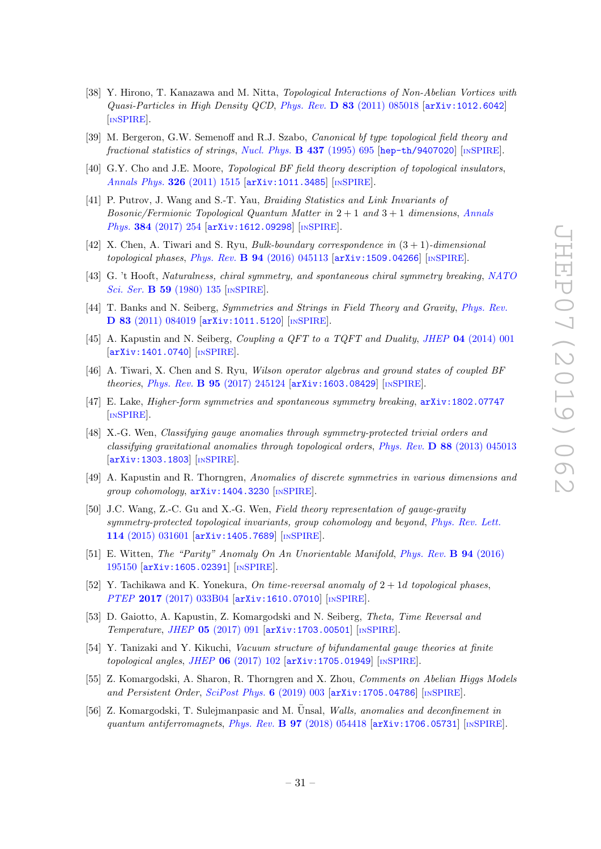- <span id="page-31-0"></span>[38] Y. Hirono, T. Kanazawa and M. Nitta, Topological Interactions of Non-Abelian Vortices with  $Quasi-Particles$  in High Density QCD, Phys. Rev.  $\bf{D}$  83 [\(2011\) 085018](https://doi.org/10.1103/PhysRevD.83.085018) [[arXiv:1012.6042](https://arxiv.org/abs/1012.6042)] [IN[SPIRE](https://inspirehep.net/search?p=find+EPRINT+arXiv:1012.6042)].
- <span id="page-31-1"></span>[39] M. Bergeron, G.W. Semenoff and R.J. Szabo, Canonical bf type topological field theory and fractional statistics of strings, [Nucl. Phys.](https://doi.org/10.1016/0550-3213(94)00503-7) B 437 (1995) 695 [[hep-th/9407020](https://arxiv.org/abs/hep-th/9407020)] [IN[SPIRE](https://inspirehep.net/search?p=find+EPRINT+hep-th/9407020)].
- [40] G.Y. Cho and J.E. Moore, *Topological BF field theory description of topological insulators*, [Annals Phys.](https://doi.org/10.1016/j.aop.2010.12.011) 326 (2011) 1515 [[arXiv:1011.3485](https://arxiv.org/abs/1011.3485)] [IN[SPIRE](https://inspirehep.net/search?p=find+EPRINT+arXiv:1011.3485)].
- [41] P. Putrov, J. Wang and S.-T. Yau, Braiding Statistics and Link Invariants of Bosonic/Fermionic Topological Quantum Matter in  $2 + 1$  and  $3 + 1$  dimensions, [Annals](https://doi.org/10.1016/j.aop.2017.06.019) Phys. 384 [\(2017\) 254](https://doi.org/10.1016/j.aop.2017.06.019) [[arXiv:1612.09298](https://arxiv.org/abs/1612.09298)] [IN[SPIRE](https://inspirehep.net/search?p=find+EPRINT+arXiv:1612.09298)].
- <span id="page-31-2"></span>[42] X. Chen, A. Tiwari and S. Ryu, *Bulk-boundary correspondence in*  $(3 + 1)$ -dimensional topological phases, Phys. Rev. B 94 [\(2016\) 045113](https://doi.org/10.1103/PhysRevB.94.045113) [[arXiv:1509.04266](https://arxiv.org/abs/1509.04266)] [IN[SPIRE](https://inspirehep.net/search?p=find+J+%22Phys.Rev.,B94,045113%22)].
- <span id="page-31-3"></span>[43] G. 't Hooft, Naturalness, chiral symmetry, and spontaneous chiral symmetry breaking, [NATO](https://doi.org/10.1007/978-1-4684-7571-5_9) Sci. Ser. **B 59** [\(1980\) 135](https://doi.org/10.1007/978-1-4684-7571-5_9) [IN[SPIRE](https://inspirehep.net/search?p=find+IRN+599360)].
- <span id="page-31-4"></span>[44] T. Banks and N. Seiberg, Symmetries and Strings in Field Theory and Gravity, [Phys. Rev.](https://doi.org/10.1103/PhysRevD.83.084019) D 83 [\(2011\) 084019](https://doi.org/10.1103/PhysRevD.83.084019) [[arXiv:1011.5120](https://arxiv.org/abs/1011.5120)] [IN[SPIRE](https://inspirehep.net/search?p=find+EPRINT+arXiv:1011.5120)].
- <span id="page-31-5"></span>[45] A. Kapustin and N. Seiberg, Coupling a QFT to a TQFT and Duality, JHEP 04 [\(2014\) 001](https://doi.org/10.1007/JHEP04(2014)001) [[arXiv:1401.0740](https://arxiv.org/abs/1401.0740)] [IN[SPIRE](https://inspirehep.net/search?p=find+EPRINT+arXiv:1401.0740)].
- <span id="page-31-6"></span>[46] A. Tiwari, X. Chen and S. Ryu, Wilson operator algebras and ground states of coupled BF theories, Phys. Rev. B 95 [\(2017\) 245124](https://doi.org/10.1103/PhysRevB.95.245124) [[arXiv:1603.08429](https://arxiv.org/abs/1603.08429)] [IN[SPIRE](https://inspirehep.net/search?p=find+EPRINT+arXiv:1603.08429)].
- <span id="page-31-7"></span>[47] E. Lake, Higher-form symmetries and spontaneous symmetry breaking, [arXiv:1802.07747](https://arxiv.org/abs/1802.07747) [IN[SPIRE](https://inspirehep.net/search?p=find+EPRINT+arXiv:1802.07747)].
- <span id="page-31-8"></span>[48] X.-G. Wen, Classifying gauge anomalies through symmetry-protected trivial orders and classifying gravitational anomalies through topological orders, Phys. Rev. D 88 [\(2013\) 045013](https://doi.org/10.1103/PhysRevD.88.045013) [[arXiv:1303.1803](https://arxiv.org/abs/1303.1803)] [IN[SPIRE](https://inspirehep.net/search?p=find+EPRINT+arXiv:1303.1803)].
- [49] A. Kapustin and R. Thorngren, Anomalies of discrete symmetries in various dimensions and group cohomology, [arXiv:1404.3230](https://arxiv.org/abs/1404.3230) [IN[SPIRE](https://inspirehep.net/search?p=find+EPRINT+arXiv:1404.3230)].
- <span id="page-31-9"></span>[50] J.C. Wang, Z.-C. Gu and X.-G. Wen, Field theory representation of qauge-gravity symmetry-protected topological invariants, group cohomology and beyond, [Phys. Rev. Lett.](https://doi.org/10.1103/PhysRevLett.114.031601) 114 [\(2015\) 031601](https://doi.org/10.1103/PhysRevLett.114.031601) [[arXiv:1405.7689](https://arxiv.org/abs/1405.7689)] [IN[SPIRE](https://inspirehep.net/search?p=find+EPRINT+arXiv:1405.7689)].
- <span id="page-31-10"></span>[51] E. Witten, The "Parity" Anomaly On An Unorientable Manifold, [Phys. Rev.](https://doi.org/10.1103/PhysRevB.94.195150) B 94 (2016) [195150](https://doi.org/10.1103/PhysRevB.94.195150) [[arXiv:1605.02391](https://arxiv.org/abs/1605.02391)] [IN[SPIRE](https://inspirehep.net/search?p=find+EPRINT+arXiv:1605.02391)].
- [52] Y. Tachikawa and K. Yonekura, On time-reversal anomaly of  $2 + 1d$  topological phases, PTEP 2017 [\(2017\) 033B04](https://doi.org/10.1093/ptep/ptx010) [[arXiv:1610.07010](https://arxiv.org/abs/1610.07010)] [IN[SPIRE](https://inspirehep.net/search?p=find+EPRINT+arXiv:1610.07010)].
- [53] D. Gaiotto, A. Kapustin, Z. Komargodski and N. Seiberg, Theta, Time Reversal and Temperature, JHEP 05 [\(2017\) 091](https://doi.org/10.1007/JHEP05(2017)091) [[arXiv:1703.00501](https://arxiv.org/abs/1703.00501)] [IN[SPIRE](https://inspirehep.net/search?p=find+EPRINT+arXiv:1703.00501)].
- [54] Y. Tanizaki and Y. Kikuchi, Vacuum structure of bifundamental gauge theories at finite topological angles, JHEP  $06$  [\(2017\) 102](https://doi.org/10.1007/JHEP06(2017)102)  $\text{arXiv:1705.01949}$  $\text{arXiv:1705.01949}$  $\text{arXiv:1705.01949}$   $\text{lnSPIRE}$  $\text{lnSPIRE}$  $\text{lnSPIRE}$ .
- [55] Z. Komargodski, A. Sharon, R. Thorngren and X. Zhou, Comments on Abelian Higgs Models and Persistent Order, [SciPost Phys.](https://doi.org/10.21468/SciPostPhys.6.1.003) 6 (2019) 003 [[arXiv:1705.04786](https://arxiv.org/abs/1705.04786)] [IN[SPIRE](https://inspirehep.net/search?p=find+EPRINT+arXiv:1705.04786)].
- [56] Z. Komargodski, T. Sulejmanpasic and M. Ünsal, Walls, anomalies and deconfinement in quantum antiferromagnets, Phys. Rev. B  $97$  [\(2018\) 054418](https://doi.org/10.1103/PhysRevB.97.054418)  $\left[$ [arXiv:1706.05731](https://arxiv.org/abs/1706.05731) $\right]$   $\left[$ IN[SPIRE](https://inspirehep.net/search?p=find+EPRINT+arXiv:1706.05731) $\right]$ .